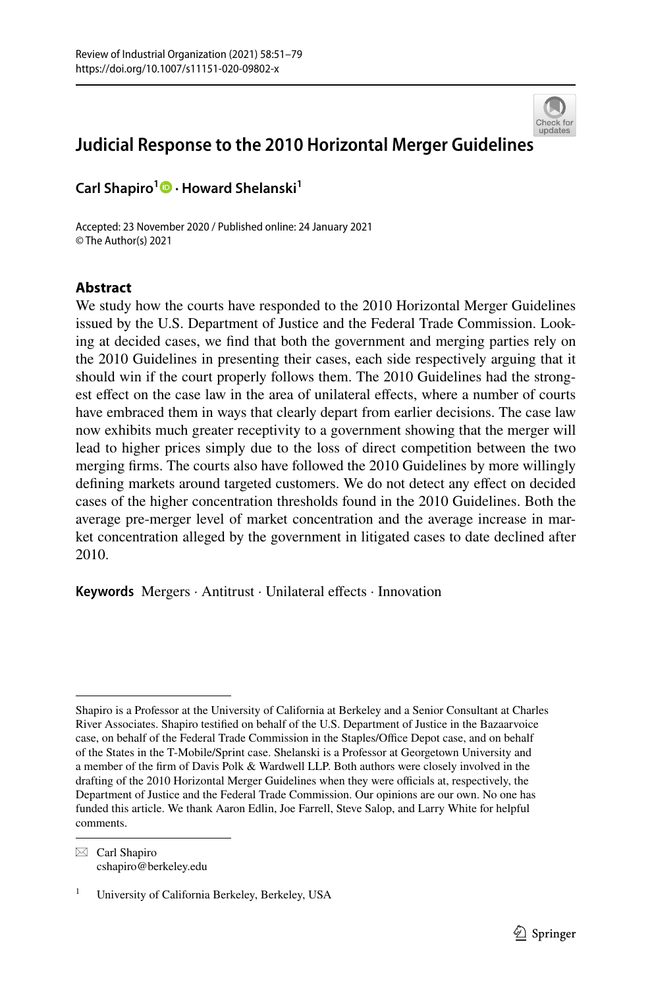

# **Judicial Response to the 2010 Horizontal Merger Guideline[s](http://crossmark.crossref.org/dialog/?doi=10.1007/s11151-020-09802-x&domain=pdf)**

**Carl Shapiro<sup>1</sup> · Howard Shelanski1**

Accepted: 23 November 2020 / Published online: 24 January 2021 © The Author(s) 2021

# **Abstract**

We study how the courts have responded to the 2010 Horizontal Merger Guidelines issued by the U.S. Department of Justice and the Federal Trade Commission. Looking at decided cases, we fnd that both the government and merging parties rely on the 2010 Guidelines in presenting their cases, each side respectively arguing that it should win if the court properly follows them. The 2010 Guidelines had the strongest effect on the case law in the area of unilateral effects, where a number of courts have embraced them in ways that clearly depart from earlier decisions. The case law now exhibits much greater receptivity to a government showing that the merger will lead to higher prices simply due to the loss of direct competition between the two merging frms. The courts also have followed the 2010 Guidelines by more willingly defining markets around targeted customers. We do not detect any effect on decided cases of the higher concentration thresholds found in the 2010 Guidelines. Both the average pre-merger level of market concentration and the average increase in market concentration alleged by the government in litigated cases to date declined after 2010.

Keywords Mergers · Antitrust · Unilateral effects · Innovation

 $\boxtimes$  Carl Shapiro cshapiro@berkeley.edu

Shapiro is a Professor at the University of California at Berkeley and a Senior Consultant at Charles River Associates. Shapiro testifed on behalf of the U.S. Department of Justice in the Bazaarvoice case, on behalf of the Federal Trade Commission in the Staples/Office Depot case, and on behalf of the States in the T-Mobile/Sprint case. Shelanski is a Professor at Georgetown University and a member of the frm of Davis Polk & Wardwell LLP. Both authors were closely involved in the drafting of the 2010 Horizontal Merger Guidelines when they were officials at, respectively, the Department of Justice and the Federal Trade Commission. Our opinions are our own. No one has funded this article. We thank Aaron Edlin, Joe Farrell, Steve Salop, and Larry White for helpful comments.

<sup>1</sup> University of California Berkeley, Berkeley, USA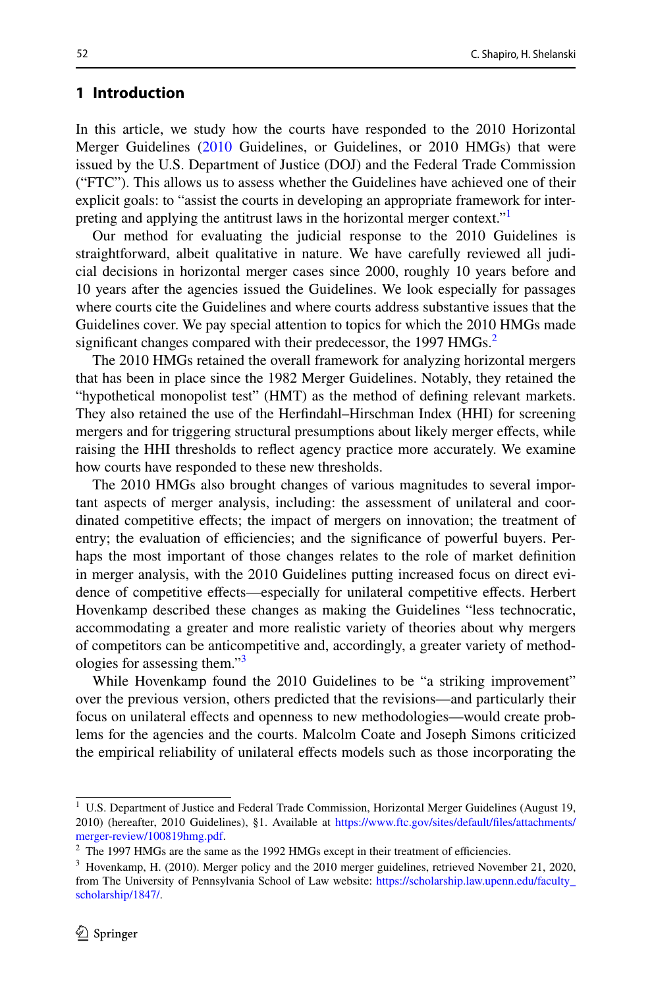# **1 Introduction**

In this article, we study how the courts have responded to the 2010 Horizontal Merger Guidelines [\(2010](#page-28-0) Guidelines, or Guidelines, or 2010 HMGs) that were issued by the U.S. Department of Justice (DOJ) and the Federal Trade Commission ("FTC"). This allows us to assess whether the Guidelines have achieved one of their explicit goals: to "assist the courts in developing an appropriate framework for interpreting and applying the antitrust laws in the horizontal merger context."

Our method for evaluating the judicial response to the 2010 Guidelines is straightforward, albeit qualitative in nature. We have carefully reviewed all judicial decisions in horizontal merger cases since 2000, roughly 10 years before and 10 years after the agencies issued the Guidelines. We look especially for passages where courts cite the Guidelines and where courts address substantive issues that the Guidelines cover. We pay special attention to topics for which the 2010 HMGs made significant changes compared with their predecessor, the 1997 HMGs.<sup>[2](#page-1-1)</sup>

The 2010 HMGs retained the overall framework for analyzing horizontal mergers that has been in place since the 1982 Merger Guidelines. Notably, they retained the "hypothetical monopolist test" (HMT) as the method of defning relevant markets. They also retained the use of the Herfndahl–Hirschman Index (HHI) for screening mergers and for triggering structural presumptions about likely merger efects, while raising the HHI thresholds to refect agency practice more accurately. We examine how courts have responded to these new thresholds.

The 2010 HMGs also brought changes of various magnitudes to several important aspects of merger analysis, including: the assessment of unilateral and coordinated competitive efects; the impact of mergers on innovation; the treatment of entry; the evaluation of efficiencies; and the significance of powerful buyers. Perhaps the most important of those changes relates to the role of market defnition in merger analysis, with the 2010 Guidelines putting increased focus on direct evidence of competitive efects—especially for unilateral competitive efects. Herbert Hovenkamp described these changes as making the Guidelines "less technocratic, accommodating a greater and more realistic variety of theories about why mergers of competitors can be anticompetitive and, accordingly, a greater variety of methodologies for assessing them."[3](#page-1-2)

While Hovenkamp found the 2010 Guidelines to be "a striking improvement" over the previous version, others predicted that the revisions—and particularly their focus on unilateral efects and openness to new methodologies—would create problems for the agencies and the courts. Malcolm Coate and Joseph Simons criticized the empirical reliability of unilateral efects models such as those incorporating the

<span id="page-1-0"></span><sup>&</sup>lt;sup>1</sup> U.S. Department of Justice and Federal Trade Commission, Horizontal Merger Guidelines (August 19, 2010) (hereafter, 2010 Guidelines), §1. Available at [https://www.ftc.gov/sites/default/fles/attachments/](https://www.ftc.gov/sites/default/files/attachments/merger-review/100819hmg.pdf) [merger-review/100819hmg.pdf](https://www.ftc.gov/sites/default/files/attachments/merger-review/100819hmg.pdf).

<span id="page-1-1"></span> $2$  The 1997 HMGs are the same as the 1992 HMGs except in their treatment of efficiencies.

<span id="page-1-2"></span><sup>3</sup> Hovenkamp, H. (2010). Merger policy and the 2010 merger guidelines, retrieved November 21, 2020, from The University of Pennsylvania School of Law website: [https://scholarship.law.upenn.edu/faculty\\_](https://scholarship.law.upenn.edu/faculty_scholarship/1847/) [scholarship/1847/.](https://scholarship.law.upenn.edu/faculty_scholarship/1847/)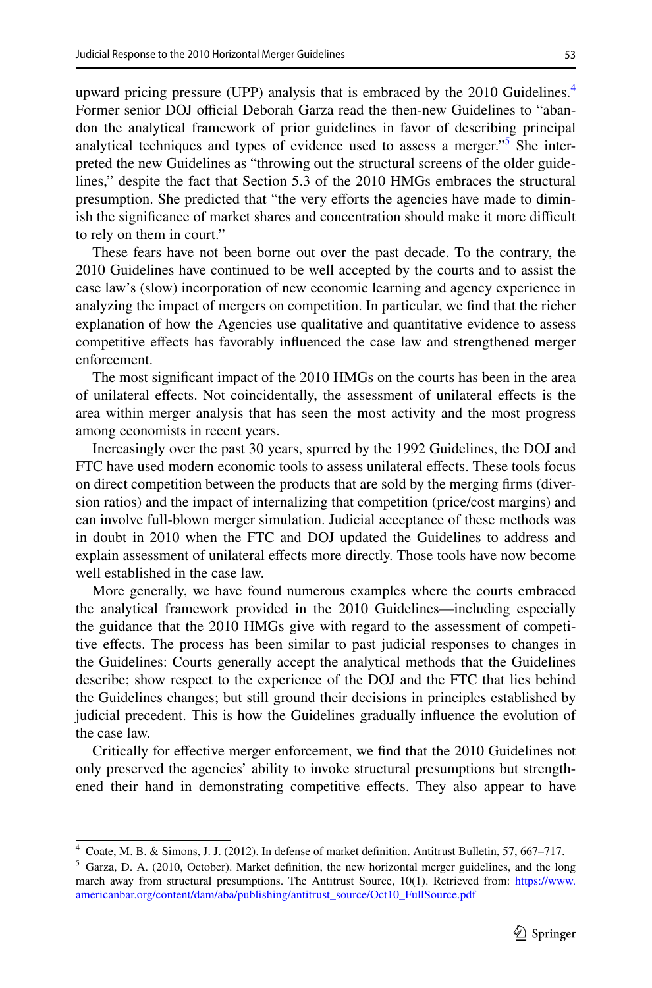upward pricing pressure (UPP) analysis that is embraced by the 2010 Guidelines.<sup>[4](#page-2-0)</sup> Former senior DOJ official Deborah Garza read the then-new Guidelines to "abandon the analytical framework of prior guidelines in favor of describing principal analytical techniques and types of evidence used to assess a merger."<sup>[5](#page-2-1)</sup> She interpreted the new Guidelines as "throwing out the structural screens of the older guidelines," despite the fact that Section 5.3 of the 2010 HMGs embraces the structural presumption. She predicted that "the very eforts the agencies have made to diminish the significance of market shares and concentration should make it more difficult to rely on them in court."

These fears have not been borne out over the past decade. To the contrary, the 2010 Guidelines have continued to be well accepted by the courts and to assist the case law's (slow) incorporation of new economic learning and agency experience in analyzing the impact of mergers on competition. In particular, we fnd that the richer explanation of how the Agencies use qualitative and quantitative evidence to assess competitive efects has favorably infuenced the case law and strengthened merger enforcement.

The most signifcant impact of the 2010 HMGs on the courts has been in the area of unilateral efects. Not coincidentally, the assessment of unilateral efects is the area within merger analysis that has seen the most activity and the most progress among economists in recent years.

Increasingly over the past 30 years, spurred by the 1992 Guidelines, the DOJ and FTC have used modern economic tools to assess unilateral efects. These tools focus on direct competition between the products that are sold by the merging frms (diversion ratios) and the impact of internalizing that competition (price/cost margins) and can involve full-blown merger simulation. Judicial acceptance of these methods was in doubt in 2010 when the FTC and DOJ updated the Guidelines to address and explain assessment of unilateral efects more directly. Those tools have now become well established in the case law.

More generally, we have found numerous examples where the courts embraced the analytical framework provided in the 2010 Guidelines—including especially the guidance that the 2010 HMGs give with regard to the assessment of competitive efects. The process has been similar to past judicial responses to changes in the Guidelines: Courts generally accept the analytical methods that the Guidelines describe; show respect to the experience of the DOJ and the FTC that lies behind the Guidelines changes; but still ground their decisions in principles established by judicial precedent. This is how the Guidelines gradually infuence the evolution of the case law.

Critically for efective merger enforcement, we fnd that the 2010 Guidelines not only preserved the agencies' ability to invoke structural presumptions but strengthened their hand in demonstrating competitive effects. They also appear to have

<span id="page-2-0"></span><sup>4</sup> Coate, M. B. & Simons, J. J. (2012). In defense of market defnition. Antitrust Bulletin, 57, 667–717.

<span id="page-2-1"></span><sup>5</sup> Garza, D. A. (2010, October). Market defnition, the new horizontal merger guidelines, and the long march away from structural presumptions. The Antitrust Source, 10(1). Retrieved from: [https://www.](https://www.americanbar.org/content/dam/aba/publishing/antitrust_source/Oct10_FullSource.pdf) [americanbar.org/content/dam/aba/publishing/antitrust\\_source/Oct10\\_FullSource.pdf](https://www.americanbar.org/content/dam/aba/publishing/antitrust_source/Oct10_FullSource.pdf)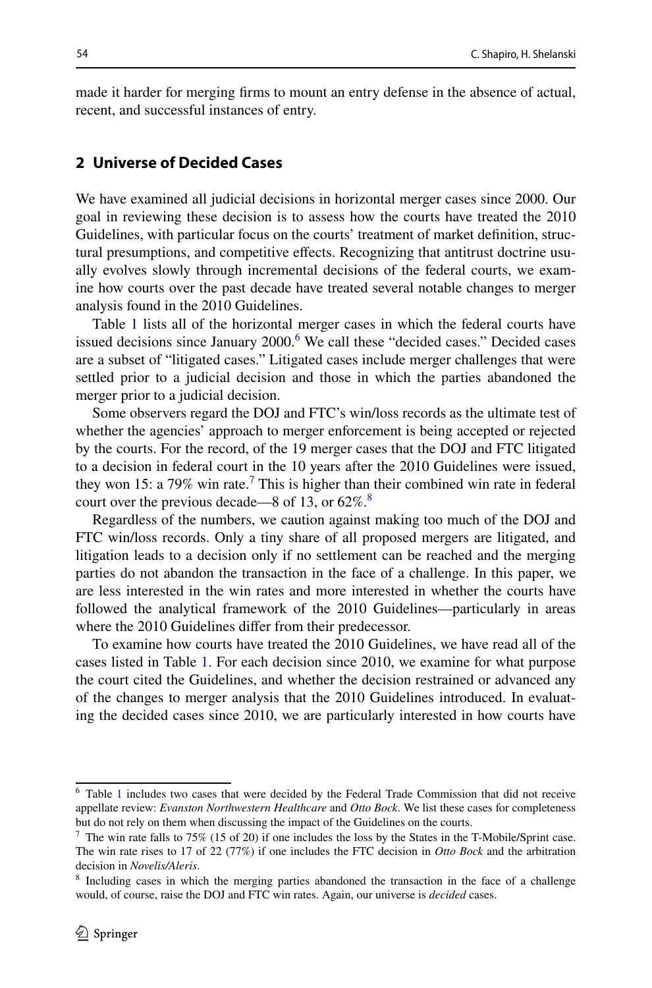made it harder for merging frms to mount an entry defense in the absence of actual, recent, and successful instances of entry.

# **2 Universe of Decided Cases**

We have examined all judicial decisions in horizontal merger cases since 2000. Our goal in reviewing these decision is to assess how the courts have treated the 2010 Guidelines, with particular focus on the courts' treatment of market defnition, structural presumptions, and competitive efects. Recognizing that antitrust doctrine usually evolves slowly through incremental decisions of the federal courts, we examine how courts over the past decade have treated several notable changes to merger analysis found in the 2010 Guidelines.

Table [1](#page-4-0) lists all of the horizontal merger cases in which the federal courts have issued decisions since January 2000.<sup>[6](#page-3-0)</sup> We call these "decided cases." Decided cases are a subset of "litigated cases." Litigated cases include merger challenges that were settled prior to a judicial decision and those in which the parties abandoned the merger prior to a judicial decision.

Some observers regard the DOJ and FTC's win/loss records as the ultimate test of whether the agencies' approach to merger enforcement is being accepted or rejected by the courts. For the record, of the 19 merger cases that the DOJ and FTC litigated to a decision in federal court in the 10 years after the 2010 Guidelines were issued, they won 15: a [7](#page-3-1)9% win rate.<sup>7</sup> This is higher than their combined win rate in federal court over the previous decade—[8](#page-3-2) of 13, or  $62\%$ .<sup>8</sup>

Regardless of the numbers, we caution against making too much of the DOJ and FTC win/loss records. Only a tiny share of all proposed mergers are litigated, and litigation leads to a decision only if no settlement can be reached and the merging parties do not abandon the transaction in the face of a challenge. In this paper, we are less interested in the win rates and more interested in whether the courts have followed the analytical framework of the 2010 Guidelines—particularly in areas where the 2010 Guidelines difer from their predecessor.

To examine how courts have treated the 2010 Guidelines, we have read all of the cases listed in Table [1.](#page-4-0) For each decision since 2010, we examine for what purpose the court cited the Guidelines, and whether the decision restrained or advanced any of the changes to merger analysis that the 2010 Guidelines introduced. In evaluating the decided cases since 2010, we are particularly interested in how courts have

<span id="page-3-0"></span><sup>6</sup> Table [1](#page-4-0) includes two cases that were decided by the Federal Trade Commission that did not receive appellate review: *Evanston Northwestern Healthcare* and *Otto Bock*. We list these cases for completeness but do not rely on them when discussing the impact of the Guidelines on the courts.

<span id="page-3-1"></span> $7$  The win rate falls to 75% (15 of 20) if one includes the loss by the States in the T-Mobile/Sprint case. The win rate rises to 17 of 22 (77%) if one includes the FTC decision in *Otto Bock* and the arbitration decision in *Novelis/Aleris*.

<span id="page-3-2"></span><sup>&</sup>lt;sup>8</sup> Including cases in which the merging parties abandoned the transaction in the face of a challenge would, of course, raise the DOJ and FTC win rates. Again, our universe is *decided* cases.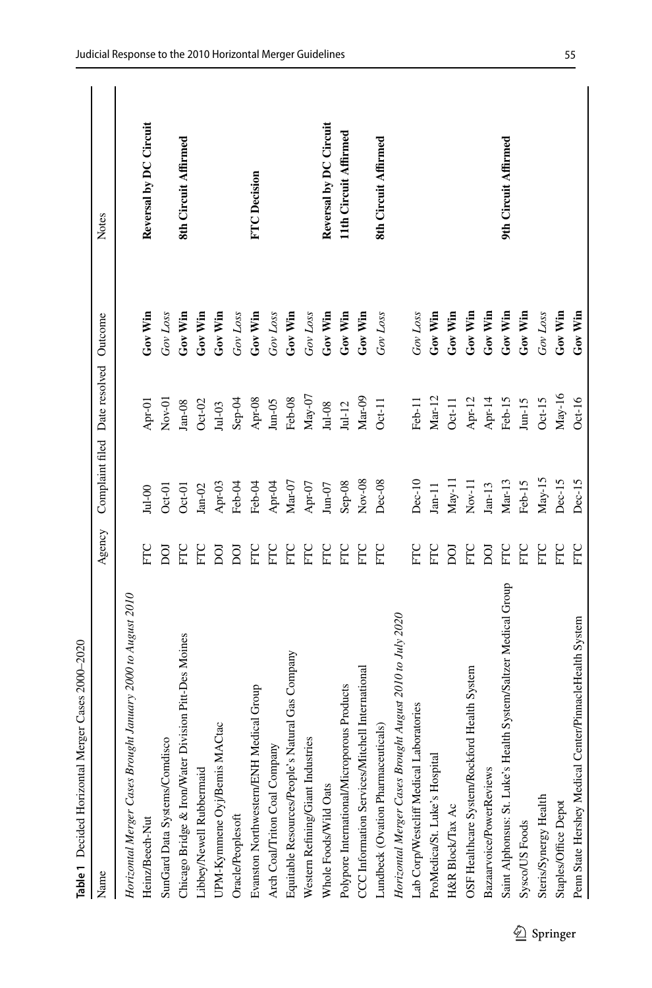<span id="page-4-0"></span>

| Table 1 Decided Horizontal Merger Cases 2000-2020               |        |                     |                    |           |                        |
|-----------------------------------------------------------------|--------|---------------------|--------------------|-----------|------------------------|
| Name                                                            | Agency | Complaint filed     | Date resolved      | Outcome   | Notes                  |
| Horizontal Merger Cases Brought January 2000 to August 2010     |        |                     |                    |           |                        |
| Heinz/Beech-Nut                                                 | E      | $Jul-00$            | Apr-01             | Gov Win   | Reversal by DC Circuit |
| SunGard Data Systems/Comdisco                                   | Ö      | $Oct-01$            | $Nov-01$           | Gov Loss  |                        |
| Chicago Bridge & Iron/Water Division Pitt-Des Moines            | EC     | $Oct-01$            | $Jan-08$           | $Gov$ Win | 8th Circuit Affirmed   |
| Libbey/Newell Rubbermaid                                        | EC     | $Jan-02$            | $Oct-02$           | Gov Win   |                        |
| Ctac<br>UPM-Kymmene Oyj/Bemis MA                                | Ö      | Apr-03              | $Jul-03$           | Gov Win   |                        |
| Oracle/Peoplesoft                                               | DО     | Feb-04              | $Step-04$          | Gov Loss  |                        |
| Evanston Northwestern/ENH Medical Group                         | EC     | Feb-04              | Apr-08             | Gov Win   | <b>FTC</b> Decision    |
| Arch Coal/Triton Coal Company                                   | ELC    | Apr-04              | $_{\text{Jun-OS}}$ | Gov Loss  |                        |
| Equitable Resources/People's Natural Gas Company                | FTC    | $\rm{Mar-}07$       | Feb-08             | $Gov$ Win |                        |
| Western Refining/Giant Industries                               | EC     | Apr-07              | $May-07$           | Gov Loss  |                        |
| Whole Foods/Wild Oats                                           | FTC    | $\rm Jun\text{-}O7$ | $Jul-08$           | $Gov$ Win | Reversal by DC Circuit |
| Polypore International/Microporous Products                     | ELC    | $Sep-08$            | $Jul-12$           | Gov Win   | 11th Circuit Affirmed  |
| CCC Information Services/Mitchell International                 | EC     | $Nov-08$            | Mar-09             | Gov Win   |                        |
| Lundbeck (Ovation Pharmaceuticals)                              | EC     | Dec-08              | $Oct-11$           | Gov Loss  | 8th Circuit Affirmed   |
| Horizontal Merger Cases Brought August 2010 to July 2020        |        |                     |                    |           |                        |
| Lab Corp/Westcliff Medical Laboratories                         | EC     | $Dec-10$            | Feb-11             | Gov Loss  |                        |
| ProMedica/St. Luke's Hospital                                   | EC     | $Jan-11$            | $Mar-12$           | $Gov$ Win |                        |
| H&R Block/Tax Ac                                                | ÖQ     | $May-11$            | $Oct-11$           | Gov Win   |                        |
| OSF Healthcare System/Rockford Health System                    | EC     | $Nov-11$            | Apr-12             | $Gov$ Win |                        |
| Bazaarvoice/PowerReviews                                        | БOI    | $Jan-13$            | Apr-14             | Gov Win   |                        |
| Saint Alphonsus: St. Luke's Health System/Saltzer Medical Group | FTC    | $Mar-13$            | Feb-15             | Gov Win   | 9th Circuit Affirmed   |
| Sysco/US Foods                                                  | FTC    | Feb-15              | $J$ un- $15$       | Gov Win   |                        |
| Steris/Synergy Health                                           | FTC    | $May-15$            | $Oct-15$           | Gov Loss  |                        |
| Staples/Office Depot                                            | ETC    | Dec-15              | $May-16$           | Gov Win   |                        |
| Penn State Hershey Medical Center/PinnacleHealth System         | FTC    | Dec-15              | $Oct-16$           | Gov Win   |                        |

55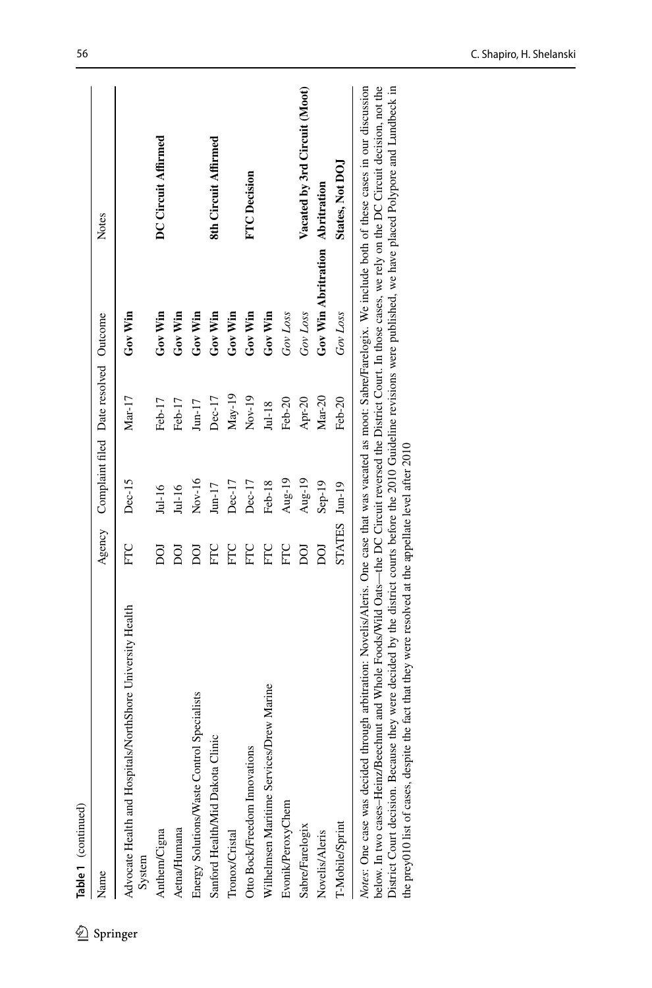| Table 1 (continued)                                                                                                                                                   |               |                                              |          |                                 |                               |
|-----------------------------------------------------------------------------------------------------------------------------------------------------------------------|---------------|----------------------------------------------|----------|---------------------------------|-------------------------------|
| Name                                                                                                                                                                  |               | Agency Complaint filed Date resolved Outcome |          |                                 | Notes                         |
| Advocate Health and Hospitals/NorthShore University Health<br>System                                                                                                  | FTC           | Dec-15                                       | $Mar-17$ | $\rm{Gov}$ Win                  |                               |
| Anthem/Cigna                                                                                                                                                          | g             | $Jul-16$                                     | Feb-17   | Gov Win                         | DC Circuit Affirmed           |
| <b>Aetna/Humana</b>                                                                                                                                                   | ğ             | Jul-16                                       | Feb-17   | Gov Win                         |                               |
| Energy Solutions/Waste Control Specialists                                                                                                                            | g             | $Nov-16$                                     | $Jun-17$ | Gov Win                         |                               |
| Sanford Health/Mid Dakota Clinic                                                                                                                                      | EC            | $Jun-17$                                     | $Dec-17$ | Gov Win                         | 8th Circuit Affirmed          |
| Tronox/Cristal                                                                                                                                                        | EC            | Dec-17                                       | $May-19$ | Gov Win                         |                               |
| Otto Bock/Freedom Innovations                                                                                                                                         | EC            | Dec-17                                       | $Nov-19$ | Gov Win                         | <b>FTC</b> Decision           |
| Wilhelmsen Maritime Services/Drew Marine                                                                                                                              | EC            | Feb-18                                       | $Jul-18$ | Gov Win                         |                               |
| Evonik/PeroxyChem                                                                                                                                                     | FTC           | Aug-19                                       | Feb-20   | Gov Loss                        |                               |
| Sabre/Farelogix                                                                                                                                                       | g             | Aug-19                                       | Apr-20   | Gov Loss                        | Vacated by 3rd Circuit (Moot) |
| Novelis/Aleris                                                                                                                                                        | ğ             | $Sep-19$                                     | $Mar-20$ | Gov Win Abritration Abritration |                               |
| T-Mobile/Sprint                                                                                                                                                       | STATES Jun-19 |                                              | Feb-20   | Gov Loss                        | States, Not DOJ               |
| Notes: One case was decided through arbitration: Novelis/Aleris. One case that was vacated as moot: Sabre/Farelogix. We include both of these cases in our discussion |               |                                              |          |                                 |                               |

*Notes*: One case was decided through arbitration: Novelis/Aleris. One case that was vacated as moot: Sabre/Farelogix. We include both of these cases in our discussion<br>below. In two cases-Heinz/Beechnut and Whole Foods/Wil below. In two cases–Heinz/Beechnut and Whole Foods/Wild Oats—the DC Circuit reversed the District Court. In those cases, we rely on the DC Circuit decision, not the District Court decision. Because they were decided by the district courts before the 2010 Guideline revisions were published, we have placed Polypore and Lundbeck in the prey010 list of cases, despite the fact that they were resolved at the appellate level after 2010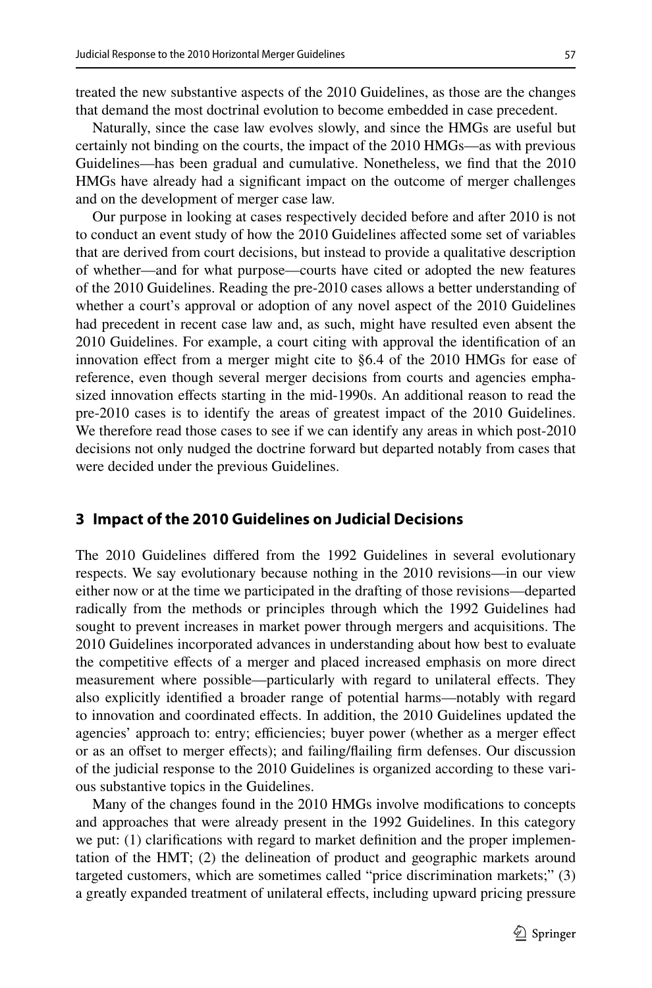treated the new substantive aspects of the 2010 Guidelines, as those are the changes that demand the most doctrinal evolution to become embedded in case precedent.

Naturally, since the case law evolves slowly, and since the HMGs are useful but certainly not binding on the courts, the impact of the 2010 HMGs—as with previous Guidelines—has been gradual and cumulative. Nonetheless, we fnd that the 2010 HMGs have already had a signifcant impact on the outcome of merger challenges and on the development of merger case law.

Our purpose in looking at cases respectively decided before and after 2010 is not to conduct an event study of how the 2010 Guidelines afected some set of variables that are derived from court decisions, but instead to provide a qualitative description of whether—and for what purpose—courts have cited or adopted the new features of the 2010 Guidelines. Reading the pre-2010 cases allows a better understanding of whether a court's approval or adoption of any novel aspect of the 2010 Guidelines had precedent in recent case law and, as such, might have resulted even absent the 2010 Guidelines. For example, a court citing with approval the identifcation of an innovation efect from a merger might cite to §6.4 of the 2010 HMGs for ease of reference, even though several merger decisions from courts and agencies emphasized innovation efects starting in the mid-1990s. An additional reason to read the pre-2010 cases is to identify the areas of greatest impact of the 2010 Guidelines. We therefore read those cases to see if we can identify any areas in which post-2010 decisions not only nudged the doctrine forward but departed notably from cases that were decided under the previous Guidelines.

### **3 Impact of the 2010 Guidelines on Judicial Decisions**

The 2010 Guidelines difered from the 1992 Guidelines in several evolutionary respects. We say evolutionary because nothing in the 2010 revisions—in our view either now or at the time we participated in the drafting of those revisions—departed radically from the methods or principles through which the 1992 Guidelines had sought to prevent increases in market power through mergers and acquisitions. The 2010 Guidelines incorporated advances in understanding about how best to evaluate the competitive efects of a merger and placed increased emphasis on more direct measurement where possible—particularly with regard to unilateral efects. They also explicitly identifed a broader range of potential harms—notably with regard to innovation and coordinated efects. In addition, the 2010 Guidelines updated the agencies' approach to: entry; efficiencies; buyer power (whether as a merger effect or as an ofset to merger efects); and failing/failing frm defenses. Our discussion of the judicial response to the 2010 Guidelines is organized according to these various substantive topics in the Guidelines.

Many of the changes found in the 2010 HMGs involve modifcations to concepts and approaches that were already present in the 1992 Guidelines. In this category we put: (1) clarifcations with regard to market defnition and the proper implementation of the HMT; (2) the delineation of product and geographic markets around targeted customers, which are sometimes called "price discrimination markets;" (3) a greatly expanded treatment of unilateral efects, including upward pricing pressure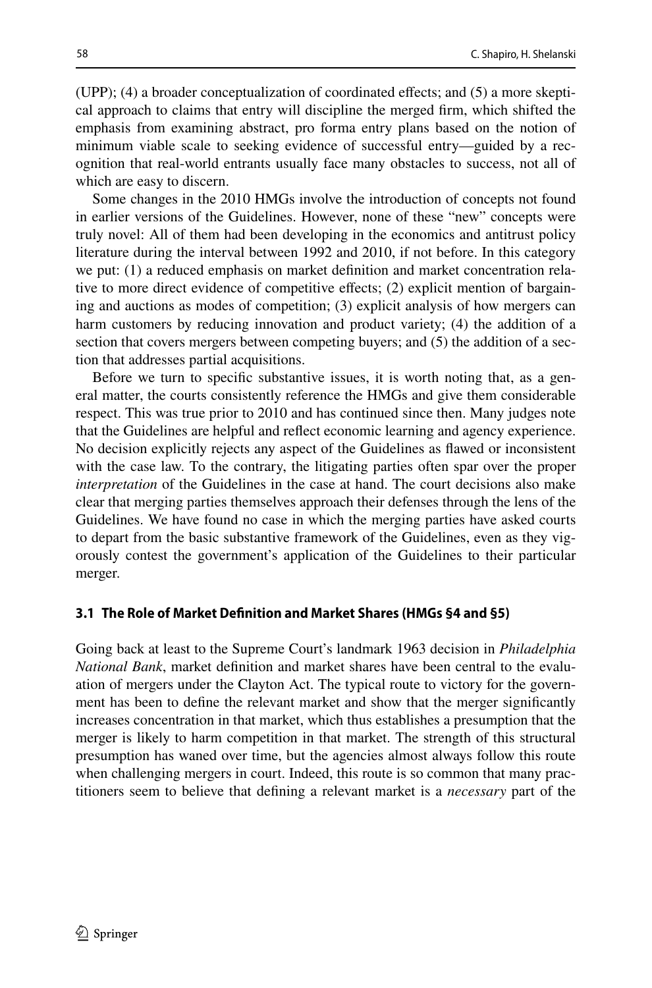(UPP); (4) a broader conceptualization of coordinated efects; and (5) a more skeptical approach to claims that entry will discipline the merged frm, which shifted the emphasis from examining abstract, pro forma entry plans based on the notion of minimum viable scale to seeking evidence of successful entry—guided by a recognition that real-world entrants usually face many obstacles to success, not all of which are easy to discern.

Some changes in the 2010 HMGs involve the introduction of concepts not found in earlier versions of the Guidelines. However, none of these "new" concepts were truly novel: All of them had been developing in the economics and antitrust policy literature during the interval between 1992 and 2010, if not before. In this category we put: (1) a reduced emphasis on market defnition and market concentration relative to more direct evidence of competitive efects; (2) explicit mention of bargaining and auctions as modes of competition; (3) explicit analysis of how mergers can harm customers by reducing innovation and product variety; (4) the addition of a section that covers mergers between competing buyers; and (5) the addition of a section that addresses partial acquisitions.

Before we turn to specifc substantive issues, it is worth noting that, as a general matter, the courts consistently reference the HMGs and give them considerable respect. This was true prior to 2010 and has continued since then. Many judges note that the Guidelines are helpful and refect economic learning and agency experience. No decision explicitly rejects any aspect of the Guidelines as fawed or inconsistent with the case law. To the contrary, the litigating parties often spar over the proper *interpretation* of the Guidelines in the case at hand. The court decisions also make clear that merging parties themselves approach their defenses through the lens of the Guidelines. We have found no case in which the merging parties have asked courts to depart from the basic substantive framework of the Guidelines, even as they vigorously contest the government's application of the Guidelines to their particular merger.

#### **3.1 The Role of Market Defnition and Market Shares (HMGs §4 and §5)**

Going back at least to the Supreme Court's landmark 1963 decision in *Philadelphia National Bank*, market defnition and market shares have been central to the evaluation of mergers under the Clayton Act. The typical route to victory for the government has been to defne the relevant market and show that the merger signifcantly increases concentration in that market, which thus establishes a presumption that the merger is likely to harm competition in that market. The strength of this structural presumption has waned over time, but the agencies almost always follow this route when challenging mergers in court. Indeed, this route is so common that many practitioners seem to believe that defning a relevant market is a *necessary* part of the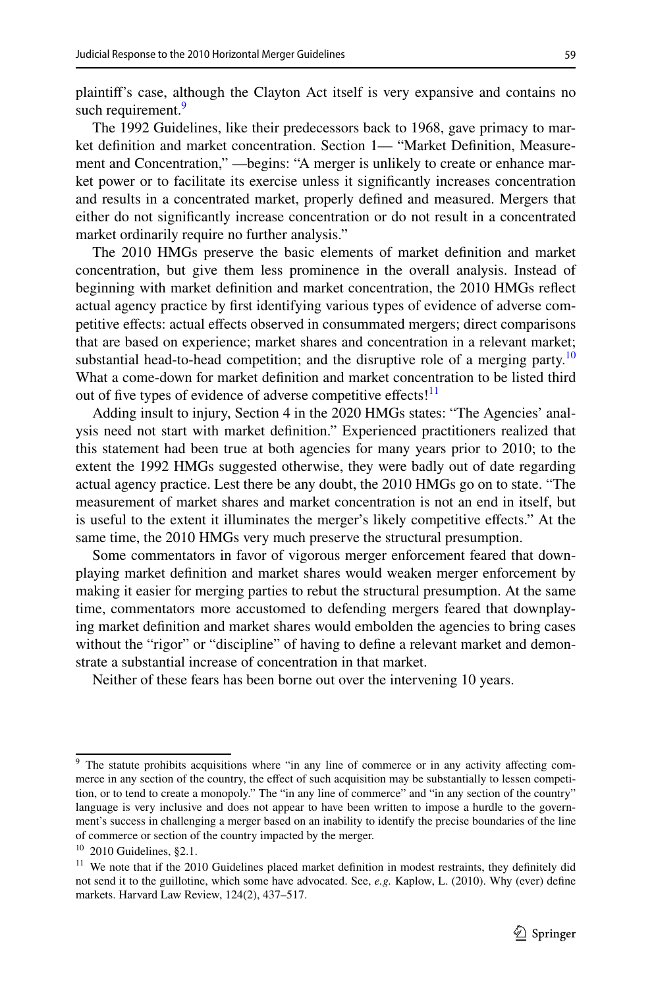plaintif's case, although the Clayton Act itself is very expansive and contains no such requirement.<sup>9</sup>

The 1992 Guidelines, like their predecessors back to 1968, gave primacy to market defnition and market concentration. Section 1— "Market Defnition, Measurement and Concentration," —begins: "A merger is unlikely to create or enhance market power or to facilitate its exercise unless it signifcantly increases concentration and results in a concentrated market, properly defned and measured. Mergers that either do not signifcantly increase concentration or do not result in a concentrated market ordinarily require no further analysis."

The 2010 HMGs preserve the basic elements of market defnition and market concentration, but give them less prominence in the overall analysis. Instead of beginning with market defnition and market concentration, the 2010 HMGs refect actual agency practice by frst identifying various types of evidence of adverse competitive efects: actual efects observed in consummated mergers; direct comparisons that are based on experience; market shares and concentration in a relevant market; substantial head-to-head competition; and the disruptive role of a merging party.<sup>10</sup> What a come-down for market defnition and market concentration to be listed third out of five types of evidence of adverse competitive effects!<sup>11</sup>

Adding insult to injury, Section 4 in the 2020 HMGs states: "The Agencies' analysis need not start with market defnition." Experienced practitioners realized that this statement had been true at both agencies for many years prior to 2010; to the extent the 1992 HMGs suggested otherwise, they were badly out of date regarding actual agency practice. Lest there be any doubt, the 2010 HMGs go on to state. "The measurement of market shares and market concentration is not an end in itself, but is useful to the extent it illuminates the merger's likely competitive efects." At the same time, the 2010 HMGs very much preserve the structural presumption.

Some commentators in favor of vigorous merger enforcement feared that downplaying market defnition and market shares would weaken merger enforcement by making it easier for merging parties to rebut the structural presumption. At the same time, commentators more accustomed to defending mergers feared that downplaying market defnition and market shares would embolden the agencies to bring cases without the "rigor" or "discipline" of having to define a relevant market and demonstrate a substantial increase of concentration in that market.

Neither of these fears has been borne out over the intervening 10 years.

<span id="page-8-0"></span><sup>&</sup>lt;sup>9</sup> The statute prohibits acquisitions where "in any line of commerce or in any activity affecting commerce in any section of the country, the efect of such acquisition may be substantially to lessen competition, or to tend to create a monopoly." The "in any line of commerce" and "in any section of the country" language is very inclusive and does not appear to have been written to impose a hurdle to the government's success in challenging a merger based on an inability to identify the precise boundaries of the line of commerce or section of the country impacted by the merger.

<span id="page-8-1"></span> $10$  2010 Guidelines, §2.1.

<span id="page-8-2"></span><sup>&</sup>lt;sup>11</sup> We note that if the 2010 Guidelines placed market definition in modest restraints, they definitely did not send it to the guillotine, which some have advocated. See, *e.g.* Kaplow, L. (2010). Why (ever) defne markets. Harvard Law Review, 124(2), 437–517.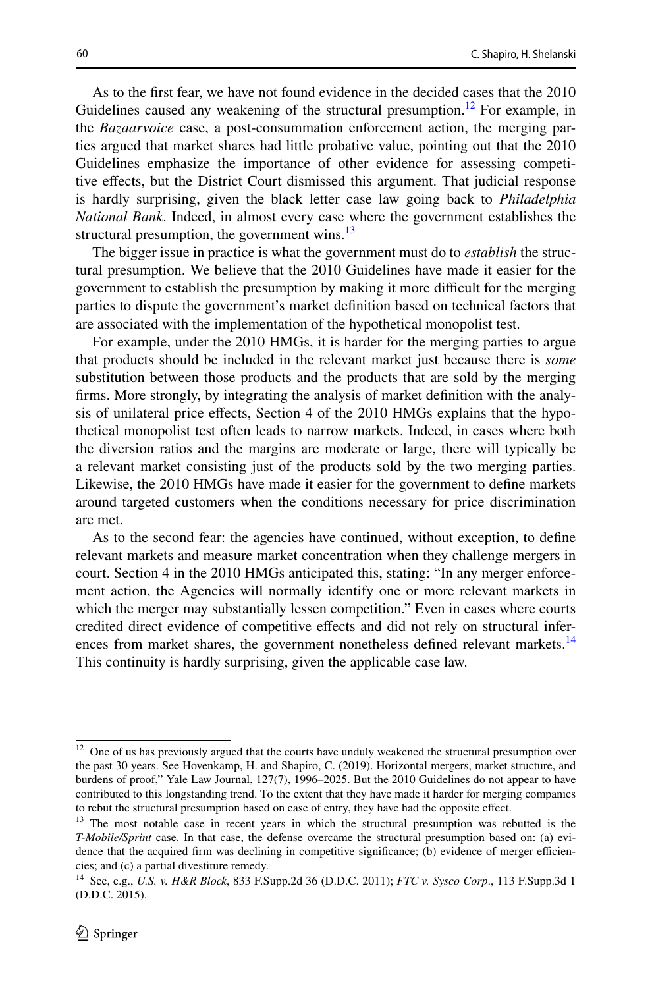As to the frst fear, we have not found evidence in the decided cases that the 2010 Guidelines caused any weakening of the structural presumption.<sup>12</sup> For example, in the *Bazaarvoice* case, a post-consummation enforcement action, the merging parties argued that market shares had little probative value, pointing out that the 2010 Guidelines emphasize the importance of other evidence for assessing competitive efects, but the District Court dismissed this argument. That judicial response is hardly surprising, given the black letter case law going back to *Philadelphia National Bank*. Indeed, in almost every case where the government establishes the structural presumption, the government wins. $^{13}$  $^{13}$  $^{13}$ 

The bigger issue in practice is what the government must do to *establish* the structural presumption. We believe that the 2010 Guidelines have made it easier for the government to establish the presumption by making it more difficult for the merging parties to dispute the government's market defnition based on technical factors that are associated with the implementation of the hypothetical monopolist test.

For example, under the 2010 HMGs, it is harder for the merging parties to argue that products should be included in the relevant market just because there is *some* substitution between those products and the products that are sold by the merging frms. More strongly, by integrating the analysis of market defnition with the analysis of unilateral price efects, Section 4 of the 2010 HMGs explains that the hypothetical monopolist test often leads to narrow markets. Indeed, in cases where both the diversion ratios and the margins are moderate or large, there will typically be a relevant market consisting just of the products sold by the two merging parties. Likewise, the 2010 HMGs have made it easier for the government to defne markets around targeted customers when the conditions necessary for price discrimination are met.

As to the second fear: the agencies have continued, without exception, to defne relevant markets and measure market concentration when they challenge mergers in court. Section 4 in the 2010 HMGs anticipated this, stating: "In any merger enforcement action, the Agencies will normally identify one or more relevant markets in which the merger may substantially lessen competition." Even in cases where courts credited direct evidence of competitive efects and did not rely on structural inferences from market shares, the government nonetheless defined relevant markets.<sup>14</sup> This continuity is hardly surprising, given the applicable case law.

<span id="page-9-0"></span><sup>&</sup>lt;sup>12</sup> One of us has previously argued that the courts have unduly weakened the structural presumption over the past 30 years. See Hovenkamp, H. and Shapiro, C. (2019). Horizontal mergers, market structure, and burdens of proof," Yale Law Journal, 127(7), 1996–2025. But the 2010 Guidelines do not appear to have contributed to this longstanding trend. To the extent that they have made it harder for merging companies to rebut the structural presumption based on ease of entry, they have had the opposite efect.

<span id="page-9-1"></span><sup>&</sup>lt;sup>13</sup> The most notable case in recent years in which the structural presumption was rebutted is the *T-Mobile/Sprint* case. In that case, the defense overcame the structural presumption based on: (a) evidence that the acquired firm was declining in competitive significance; (b) evidence of merger efficiencies; and (c) a partial divestiture remedy.

<span id="page-9-2"></span><sup>14</sup> See, e.g., *U.S. v. H&R Block*, 833 F.Supp.2d 36 (D.D.C. 2011); *FTC v. Sysco Corp*., 113 F.Supp.3d 1 (D.D.C. 2015).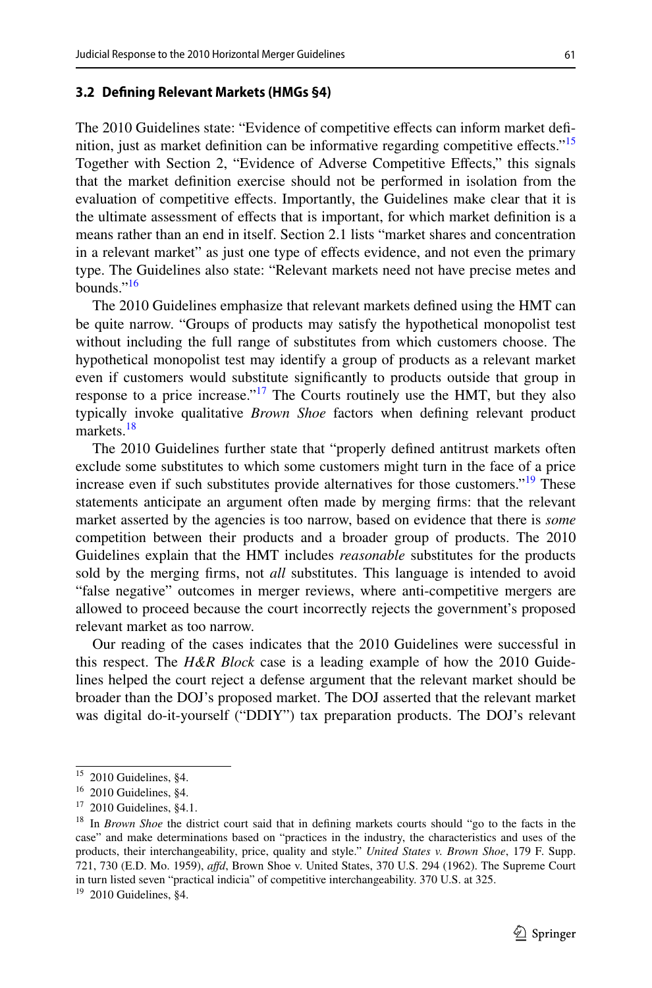#### **3.2 Defning Relevant Markets (HMGs §4)**

The 2010 Guidelines state: "Evidence of competitive effects can inform market definition, just as market definition can be informative regarding competitive effects."<sup>15</sup> Together with Section 2, "Evidence of Adverse Competitive Effects," this signals that the market defnition exercise should not be performed in isolation from the evaluation of competitive efects. Importantly, the Guidelines make clear that it is the ultimate assessment of efects that is important, for which market defnition is a means rather than an end in itself. Section 2.1 lists "market shares and concentration in a relevant market" as just one type of efects evidence, and not even the primary type. The Guidelines also state: "Relevant markets need not have precise metes and bounds.["16](#page-10-1)

The 2010 Guidelines emphasize that relevant markets defned using the HMT can be quite narrow. "Groups of products may satisfy the hypothetical monopolist test without including the full range of substitutes from which customers choose. The hypothetical monopolist test may identify a group of products as a relevant market even if customers would substitute signifcantly to products outside that group in response to a price increase."<sup>17</sup> The Courts routinely use the HMT, but they also typically invoke qualitative *Brown Shoe* factors when defning relevant product markets.<sup>[18](#page-10-3)</sup>

The 2010 Guidelines further state that "properly defned antitrust markets often exclude some substitutes to which some customers might turn in the face of a price increase even if such substitutes provide alternatives for those customers."<sup>[19](#page-10-4)</sup> These statements anticipate an argument often made by merging frms: that the relevant market asserted by the agencies is too narrow, based on evidence that there is *some* competition between their products and a broader group of products. The 2010 Guidelines explain that the HMT includes *reasonable* substitutes for the products sold by the merging frms, not *all* substitutes. This language is intended to avoid "false negative" outcomes in merger reviews, where anti-competitive mergers are allowed to proceed because the court incorrectly rejects the government's proposed relevant market as too narrow.

Our reading of the cases indicates that the 2010 Guidelines were successful in this respect. The *H&R Block* case is a leading example of how the 2010 Guidelines helped the court reject a defense argument that the relevant market should be broader than the DOJ's proposed market. The DOJ asserted that the relevant market was digital do-it-yourself ("DDIY") tax preparation products. The DOJ's relevant

<span id="page-10-0"></span><sup>15</sup> 2010 Guidelines, §4.

<span id="page-10-1"></span> $16$  2010 Guidelines, §4.

<span id="page-10-2"></span><sup>17</sup> 2010 Guidelines, §4.1.

<span id="page-10-3"></span><sup>18</sup> In *Brown Shoe* the district court said that in defning markets courts should "go to the facts in the case" and make determinations based on "practices in the industry, the characteristics and uses of the products, their interchangeability, price, quality and style." *United States v. Brown Shoe*, 179 F. Supp. 721, 730 (E.D. Mo. 1959), *afd*, Brown Shoe v. United States, 370 U.S. 294 (1962). The Supreme Court in turn listed seven "practical indicia" of competitive interchangeability. 370 U.S. at 325.

<span id="page-10-4"></span><sup>&</sup>lt;sup>19</sup> 2010 Guidelines, §4.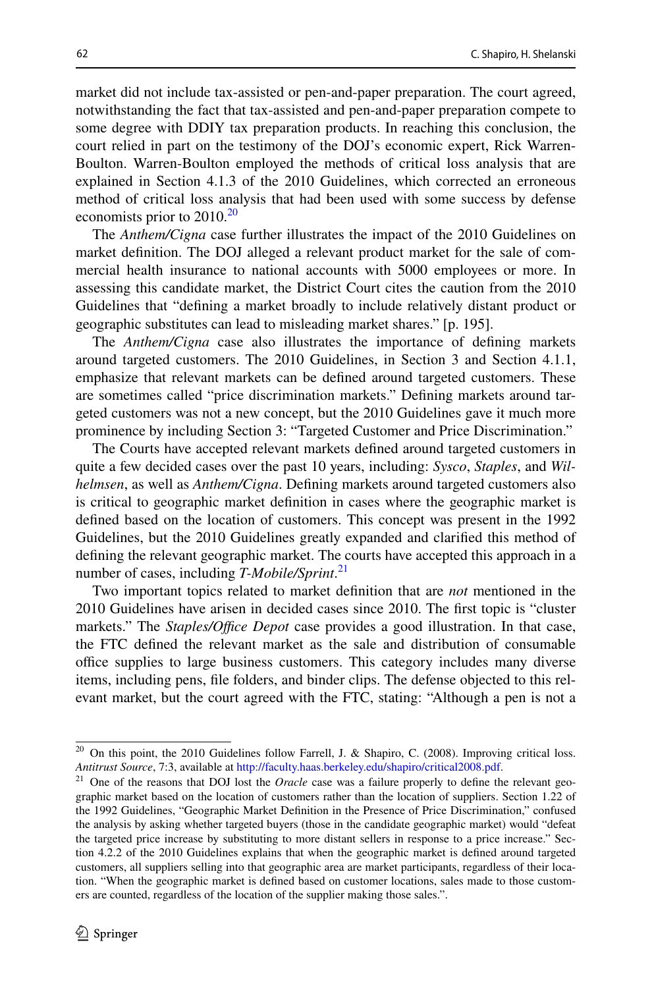market did not include tax-assisted or pen-and-paper preparation. The court agreed, notwithstanding the fact that tax-assisted and pen-and-paper preparation compete to some degree with DDIY tax preparation products. In reaching this conclusion, the court relied in part on the testimony of the DOJ's economic expert, Rick Warren-Boulton. Warren-Boulton employed the methods of critical loss analysis that are explained in Section 4.1.3 of the 2010 Guidelines, which corrected an erroneous method of critical loss analysis that had been used with some success by defense economists prior to [20](#page-11-0)10.<sup>20</sup>

The *Anthem/Cigna* case further illustrates the impact of the 2010 Guidelines on market defnition. The DOJ alleged a relevant product market for the sale of commercial health insurance to national accounts with 5000 employees or more. In assessing this candidate market, the District Court cites the caution from the 2010 Guidelines that "defning a market broadly to include relatively distant product or geographic substitutes can lead to misleading market shares." [p. 195].

The *Anthem/Cigna* case also illustrates the importance of defning markets around targeted customers. The 2010 Guidelines, in Section 3 and Section 4.1.1, emphasize that relevant markets can be defned around targeted customers. These are sometimes called "price discrimination markets." Defning markets around targeted customers was not a new concept, but the 2010 Guidelines gave it much more prominence by including Section 3: "Targeted Customer and Price Discrimination."

The Courts have accepted relevant markets defned around targeted customers in quite a few decided cases over the past 10 years, including: *Sysco*, *Staples*, and *Wilhelmsen*, as well as *Anthem/Cigna*. Defning markets around targeted customers also is critical to geographic market defnition in cases where the geographic market is defned based on the location of customers. This concept was present in the 1992 Guidelines, but the 2010 Guidelines greatly expanded and clarifed this method of defning the relevant geographic market. The courts have accepted this approach in a number of cases, including *T-Mobile/Sprint*. [21](#page-11-1)

Two important topics related to market defnition that are *not* mentioned in the 2010 Guidelines have arisen in decided cases since 2010. The frst topic is "cluster markets." The *Staples/Office Depot* case provides a good illustration. In that case, the FTC defned the relevant market as the sale and distribution of consumable office supplies to large business customers. This category includes many diverse items, including pens, fle folders, and binder clips. The defense objected to this relevant market, but the court agreed with the FTC, stating: "Although a pen is not a

<span id="page-11-0"></span><sup>&</sup>lt;sup>20</sup> On this point, the 2010 Guidelines follow Farrell, J. & Shapiro, C. (2008). Improving critical loss. *Antitrust Source*, 7:3, available at [http://faculty.haas.berkeley.edu/shapiro/critical2008.pdf.](http://faculty.haas.berkeley.edu/shapiro/critical2008.pdf)

<span id="page-11-1"></span><sup>21</sup> One of the reasons that DOJ lost the *Oracle* case was a failure properly to defne the relevant geographic market based on the location of customers rather than the location of suppliers. Section 1.22 of the 1992 Guidelines, "Geographic Market Defnition in the Presence of Price Discrimination," confused the analysis by asking whether targeted buyers (those in the candidate geographic market) would "defeat the targeted price increase by substituting to more distant sellers in response to a price increase." Section 4.2.2 of the 2010 Guidelines explains that when the geographic market is defned around targeted customers, all suppliers selling into that geographic area are market participants, regardless of their location. "When the geographic market is defned based on customer locations, sales made to those customers are counted, regardless of the location of the supplier making those sales.".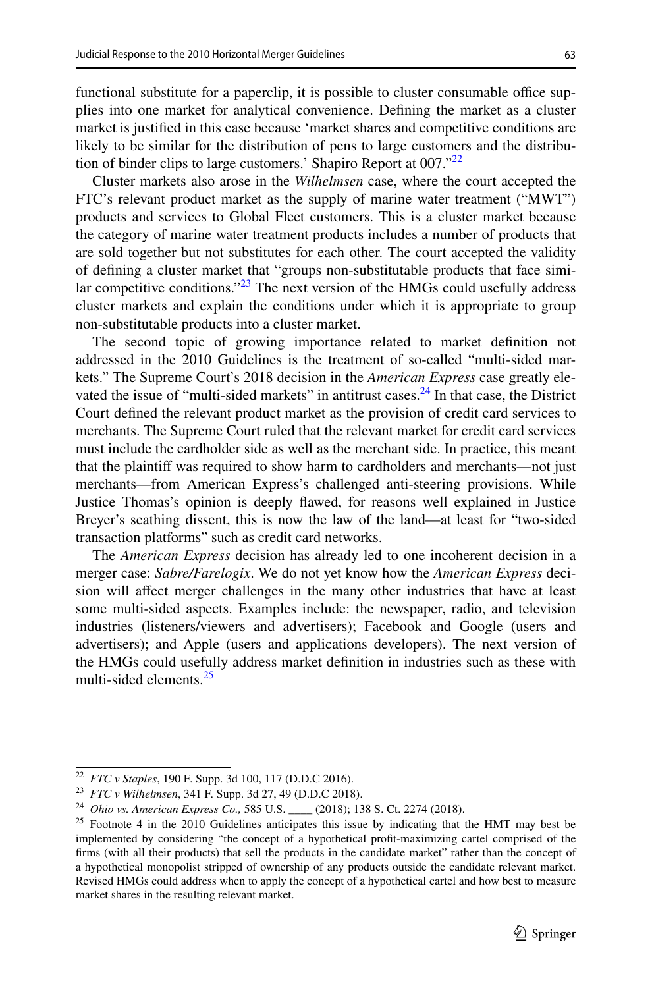functional substitute for a paperclip, it is possible to cluster consumable office supplies into one market for analytical convenience. Defning the market as a cluster market is justifed in this case because 'market shares and competitive conditions are likely to be similar for the distribution of pens to large customers and the distribu-tion of binder clips to large customers.' Shapiro Report at 007."<sup>[22](#page-12-0)</sup>

Cluster markets also arose in the *Wilhelmsen* case, where the court accepted the FTC's relevant product market as the supply of marine water treatment ("MWT") products and services to Global Fleet customers. This is a cluster market because the category of marine water treatment products includes a number of products that are sold together but not substitutes for each other. The court accepted the validity of defning a cluster market that "groups non-substitutable products that face similar competitive conditions. $123$  The next version of the HMGs could usefully address cluster markets and explain the conditions under which it is appropriate to group non-substitutable products into a cluster market.

The second topic of growing importance related to market defnition not addressed in the 2010 Guidelines is the treatment of so-called "multi-sided markets." The Supreme Court's 2018 decision in the *American Express* case greatly elevated the issue of "multi-sided markets" in antitrust cases. $24$  In that case, the District Court defned the relevant product market as the provision of credit card services to merchants. The Supreme Court ruled that the relevant market for credit card services must include the cardholder side as well as the merchant side. In practice, this meant that the plaintif was required to show harm to cardholders and merchants—not just merchants—from American Express's challenged anti-steering provisions. While Justice Thomas's opinion is deeply fawed, for reasons well explained in Justice Breyer's scathing dissent, this is now the law of the land—at least for "two-sided transaction platforms" such as credit card networks.

The *American Express* decision has already led to one incoherent decision in a merger case: *Sabre/Farelogix*. We do not yet know how the *American Express* decision will afect merger challenges in the many other industries that have at least some multi-sided aspects. Examples include: the newspaper, radio, and television industries (listeners/viewers and advertisers); Facebook and Google (users and advertisers); and Apple (users and applications developers). The next version of the HMGs could usefully address market defnition in industries such as these with multi-sided elements.<sup>25</sup>

<span id="page-12-0"></span><sup>22</sup> *FTC v Staples*, 190 F. Supp. 3d 100, 117 (D.D.C 2016).

<span id="page-12-1"></span><sup>23</sup> *FTC v Wilhelmsen*, 341 F. Supp. 3d 27, 49 (D.D.C 2018).

<span id="page-12-2"></span><sup>24</sup> *Ohio vs. American Express Co.,* 585 U.S. \_\_\_\_ (2018); 138 S. Ct. 2274 (2018).

<span id="page-12-3"></span><sup>&</sup>lt;sup>25</sup> Footnote 4 in the 2010 Guidelines anticipates this issue by indicating that the HMT may best be implemented by considering "the concept of a hypothetical proft-maximizing cartel comprised of the frms (with all their products) that sell the products in the candidate market" rather than the concept of a hypothetical monopolist stripped of ownership of any products outside the candidate relevant market. Revised HMGs could address when to apply the concept of a hypothetical cartel and how best to measure market shares in the resulting relevant market.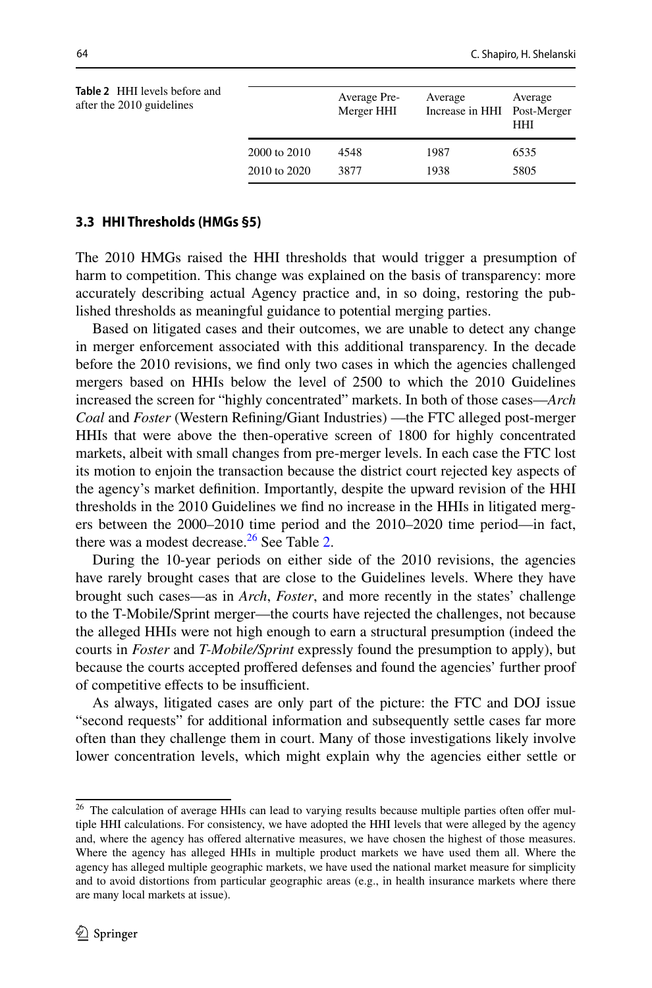<span id="page-13-1"></span>

| <b>Table 2</b> HHI levels before and<br>after the 2010 guidelines |              | Average Pre-<br>Merger HHI | Average<br>Increase in HHI Post-Merger | Average<br>HHI |
|-------------------------------------------------------------------|--------------|----------------------------|----------------------------------------|----------------|
|                                                                   | 2000 to 2010 | 4548                       | 1987                                   | 6535           |
|                                                                   | 2010 to 2020 | 3877                       | 1938                                   | 5805           |
|                                                                   |              |                            |                                        |                |

### **3.3 HHI Thresholds (HMGs §5)**

The 2010 HMGs raised the HHI thresholds that would trigger a presumption of harm to competition. This change was explained on the basis of transparency: more accurately describing actual Agency practice and, in so doing, restoring the published thresholds as meaningful guidance to potential merging parties.

Based on litigated cases and their outcomes, we are unable to detect any change in merger enforcement associated with this additional transparency. In the decade before the 2010 revisions, we fnd only two cases in which the agencies challenged mergers based on HHIs below the level of 2500 to which the 2010 Guidelines increased the screen for "highly concentrated" markets. In both of those cases—*Arch Coal* and *Foster* (Western Refning/Giant Industries) —the FTC alleged post-merger HHIs that were above the then-operative screen of 1800 for highly concentrated markets, albeit with small changes from pre-merger levels. In each case the FTC lost its motion to enjoin the transaction because the district court rejected key aspects of the agency's market defnition. Importantly, despite the upward revision of the HHI thresholds in the 2010 Guidelines we fnd no increase in the HHIs in litigated mergers between the 2000–2010 time period and the 2010–2020 time period—in fact, there was a modest decrease. $26$  See Table [2.](#page-13-1)

During the 10-year periods on either side of the 2010 revisions, the agencies have rarely brought cases that are close to the Guidelines levels. Where they have brought such cases—as in *Arch*, *Foster*, and more recently in the states' challenge to the T-Mobile/Sprint merger—the courts have rejected the challenges, not because the alleged HHIs were not high enough to earn a structural presumption (indeed the courts in *Foster* and *T-Mobile/Sprint* expressly found the presumption to apply), but because the courts accepted profered defenses and found the agencies' further proof of competitive effects to be insufficient.

As always, litigated cases are only part of the picture: the FTC and DOJ issue "second requests" for additional information and subsequently settle cases far more often than they challenge them in court. Many of those investigations likely involve lower concentration levels, which might explain why the agencies either settle or

<span id="page-13-0"></span><sup>&</sup>lt;sup>26</sup> The calculation of average HHIs can lead to varying results because multiple parties often offer multiple HHI calculations. For consistency, we have adopted the HHI levels that were alleged by the agency and, where the agency has ofered alternative measures, we have chosen the highest of those measures. Where the agency has alleged HHIs in multiple product markets we have used them all. Where the agency has alleged multiple geographic markets, we have used the national market measure for simplicity and to avoid distortions from particular geographic areas (e.g., in health insurance markets where there are many local markets at issue).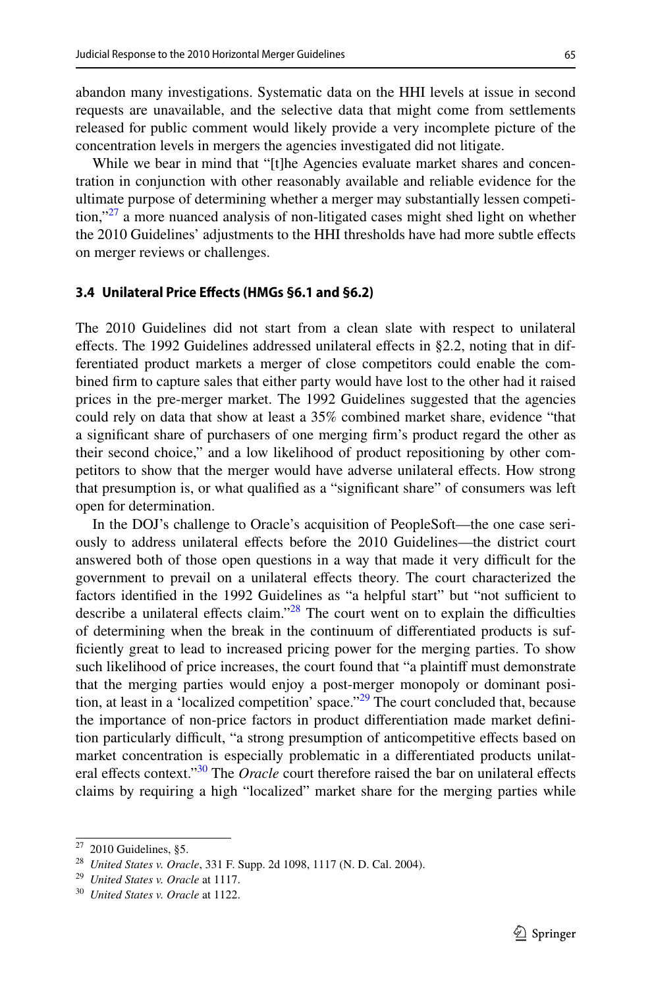abandon many investigations. Systematic data on the HHI levels at issue in second requests are unavailable, and the selective data that might come from settlements released for public comment would likely provide a very incomplete picture of the concentration levels in mergers the agencies investigated did not litigate.

While we bear in mind that "[t]he Agencies evaluate market shares and concentration in conjunction with other reasonably available and reliable evidence for the ultimate purpose of determining whether a merger may substantially lessen competition,"<sup>27</sup> a more nuanced analysis of non-litigated cases might shed light on whether the 2010 Guidelines' adjustments to the HHI thresholds have had more subtle efects on merger reviews or challenges.

#### **3.4 Unilateral Price Efects (HMGs §6.1 and §6.2)**

The 2010 Guidelines did not start from a clean slate with respect to unilateral effects. The 1992 Guidelines addressed unilateral effects in  $\S$ 2.2, noting that in differentiated product markets a merger of close competitors could enable the combined frm to capture sales that either party would have lost to the other had it raised prices in the pre-merger market. The 1992 Guidelines suggested that the agencies could rely on data that show at least a 35% combined market share, evidence "that a signifcant share of purchasers of one merging frm's product regard the other as their second choice," and a low likelihood of product repositioning by other competitors to show that the merger would have adverse unilateral efects. How strong that presumption is, or what qualifed as a "signifcant share" of consumers was left open for determination.

In the DOJ's challenge to Oracle's acquisition of PeopleSoft—the one case seriously to address unilateral efects before the 2010 Guidelines—the district court answered both of those open questions in a way that made it very difficult for the government to prevail on a unilateral efects theory. The court characterized the factors identified in the 1992 Guidelines as "a helpful start" but "not sufficient to describe a unilateral effects claim." $28$  The court went on to explain the difficulties of determining when the break in the continuum of diferentiated products is sufficiently great to lead to increased pricing power for the merging parties. To show such likelihood of price increases, the court found that "a plaintif must demonstrate that the merging parties would enjoy a post-merger monopoly or dominant position, at least in a 'localized competition' space."<sup>29</sup> The court concluded that, because the importance of non-price factors in product diferentiation made market defnition particularly difficult, "a strong presumption of anticompetitive effects based on market concentration is especially problematic in a diferentiated products unilateral effects context."<sup>30</sup> The *Oracle* court therefore raised the bar on unilateral effects claims by requiring a high "localized" market share for the merging parties while

<span id="page-14-0"></span> $27$  2010 Guidelines, §5.

<span id="page-14-1"></span><sup>28</sup> *United States v. Oracle*, 331 F. Supp. 2d 1098, 1117 (N. D. Cal. 2004).

<span id="page-14-2"></span><sup>29</sup> *United States v. Oracle* at 1117.

<span id="page-14-3"></span><sup>30</sup> *United States v. Oracle* at 1122.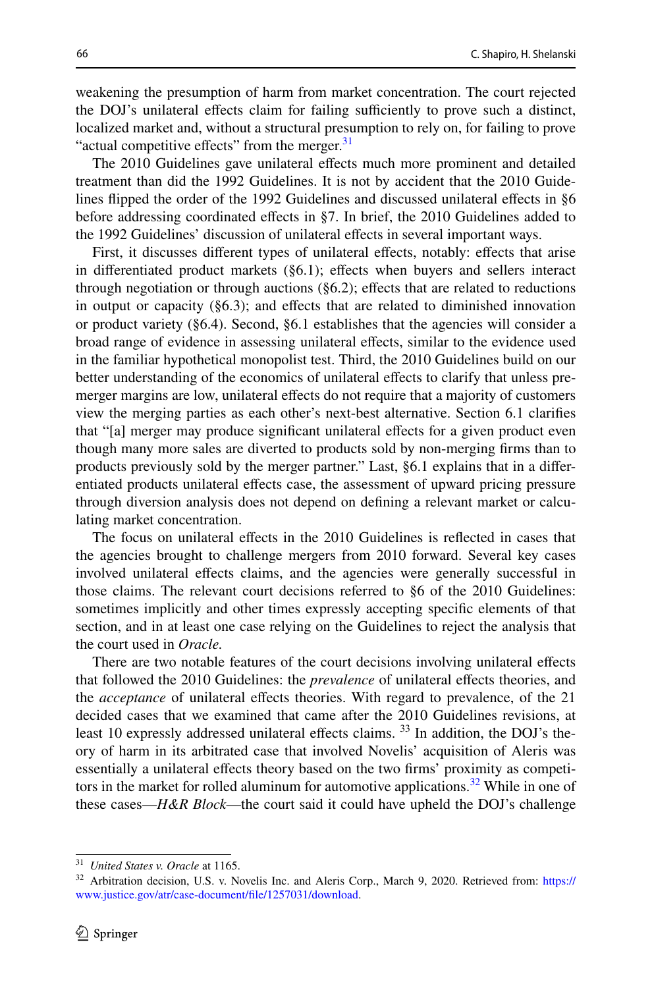weakening the presumption of harm from market concentration. The court rejected the DOJ's unilateral effects claim for failing sufficiently to prove such a distinct, localized market and, without a structural presumption to rely on, for failing to prove "actual competitive effects" from the merger.<sup>[31](#page-15-0)</sup>

The 2010 Guidelines gave unilateral effects much more prominent and detailed treatment than did the 1992 Guidelines. It is not by accident that the 2010 Guidelines fipped the order of the 1992 Guidelines and discussed unilateral efects in §6 before addressing coordinated efects in §7. In brief, the 2010 Guidelines added to the 1992 Guidelines' discussion of unilateral efects in several important ways.

First, it discusses diferent types of unilateral efects, notably: efects that arise in differentiated product markets  $(\S6.1)$ ; effects when buyers and sellers interact through negotiation or through auctions  $(\S6.2)$ ; effects that are related to reductions in output or capacity  $(\S6.3)$ ; and effects that are related to diminished innovation or product variety  $(\S6.4)$ . Second,  $\S6.1$  establishes that the agencies will consider a broad range of evidence in assessing unilateral efects, similar to the evidence used in the familiar hypothetical monopolist test. Third, the 2010 Guidelines build on our better understanding of the economics of unilateral efects to clarify that unless premerger margins are low, unilateral efects do not require that a majority of customers view the merging parties as each other's next-best alternative. Section 6.1 clarifes that "[a] merger may produce signifcant unilateral efects for a given product even though many more sales are diverted to products sold by non-merging frms than to products previously sold by the merger partner." Last, §6.1 explains that in a diferentiated products unilateral efects case, the assessment of upward pricing pressure through diversion analysis does not depend on defning a relevant market or calculating market concentration.

The focus on unilateral efects in the 2010 Guidelines is refected in cases that the agencies brought to challenge mergers from 2010 forward. Several key cases involved unilateral efects claims, and the agencies were generally successful in those claims. The relevant court decisions referred to §6 of the 2010 Guidelines: sometimes implicitly and other times expressly accepting specifc elements of that section, and in at least one case relying on the Guidelines to reject the analysis that the court used in *Oracle.*

There are two notable features of the court decisions involving unilateral efects that followed the 2010 Guidelines: the *prevalence* of unilateral efects theories, and the *acceptance* of unilateral efects theories. With regard to prevalence, of the 21 decided cases that we examined that came after the 2010 Guidelines revisions, at least 10 expressly addressed unilateral effects claims. <sup>33</sup> In addition, the DOJ's theory of harm in its arbitrated case that involved Novelis' acquisition of Aleris was essentially a unilateral efects theory based on the two frms' proximity as competitors in the market for rolled aluminum for automotive applications.<sup>32</sup> While in one of these cases—*H&R Block*—the court said it could have upheld the DOJ's challenge

<span id="page-15-0"></span><sup>31</sup> *United States v. Oracle* at 1165.

<span id="page-15-1"></span><sup>&</sup>lt;sup>32</sup> Arbitration decision, U.S. v. Novelis Inc. and Aleris Corp., March 9, 2020. Retrieved from: [https://](https://www.justice.gov/atr/case-document/file/1257031/download) [www.justice.gov/atr/case-document/fle/1257031/download.](https://www.justice.gov/atr/case-document/file/1257031/download)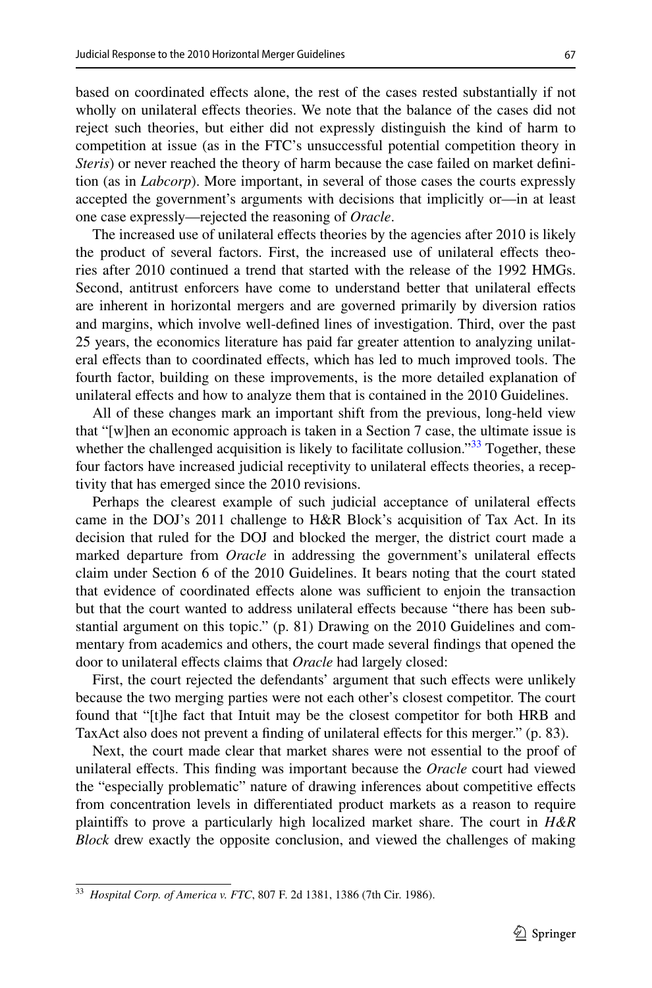based on coordinated efects alone, the rest of the cases rested substantially if not wholly on unilateral effects theories. We note that the balance of the cases did not reject such theories, but either did not expressly distinguish the kind of harm to competition at issue (as in the FTC's unsuccessful potential competition theory in *Steris*) or never reached the theory of harm because the case failed on market defnition (as in *Labcorp*). More important, in several of those cases the courts expressly accepted the government's arguments with decisions that implicitly or—in at least one case expressly—rejected the reasoning of *Oracle*.

The increased use of unilateral efects theories by the agencies after 2010 is likely the product of several factors. First, the increased use of unilateral efects theories after 2010 continued a trend that started with the release of the 1992 HMGs. Second, antitrust enforcers have come to understand better that unilateral efects are inherent in horizontal mergers and are governed primarily by diversion ratios and margins, which involve well-defned lines of investigation. Third, over the past 25 years, the economics literature has paid far greater attention to analyzing unilateral efects than to coordinated efects, which has led to much improved tools. The fourth factor, building on these improvements, is the more detailed explanation of unilateral efects and how to analyze them that is contained in the 2010 Guidelines.

All of these changes mark an important shift from the previous, long-held view that "[w]hen an economic approach is taken in a Section 7 case, the ultimate issue is whether the challenged acquisition is likely to facilitate collusion." $33$  Together, these four factors have increased judicial receptivity to unilateral efects theories, a receptivity that has emerged since the 2010 revisions.

Perhaps the clearest example of such judicial acceptance of unilateral efects came in the DOJ's 2011 challenge to H&R Block's acquisition of Tax Act. In its decision that ruled for the DOJ and blocked the merger, the district court made a marked departure from *Oracle* in addressing the government's unilateral efects claim under Section 6 of the 2010 Guidelines. It bears noting that the court stated that evidence of coordinated effects alone was sufficient to enjoin the transaction but that the court wanted to address unilateral efects because "there has been substantial argument on this topic." (p. 81) Drawing on the 2010 Guidelines and commentary from academics and others, the court made several fndings that opened the door to unilateral efects claims that *Oracle* had largely closed:

First, the court rejected the defendants' argument that such efects were unlikely because the two merging parties were not each other's closest competitor. The court found that "[t]he fact that Intuit may be the closest competitor for both HRB and TaxAct also does not prevent a finding of unilateral effects for this merger." (p. 83).

Next, the court made clear that market shares were not essential to the proof of unilateral efects. This fnding was important because the *Oracle* court had viewed the "especially problematic" nature of drawing inferences about competitive efects from concentration levels in diferentiated product markets as a reason to require plaintifs to prove a particularly high localized market share. The court in *H&R Block* drew exactly the opposite conclusion, and viewed the challenges of making

<span id="page-16-0"></span><sup>33</sup> *Hospital Corp. of America v. FTC*, 807 F. 2d 1381, 1386 (7th Cir. 1986).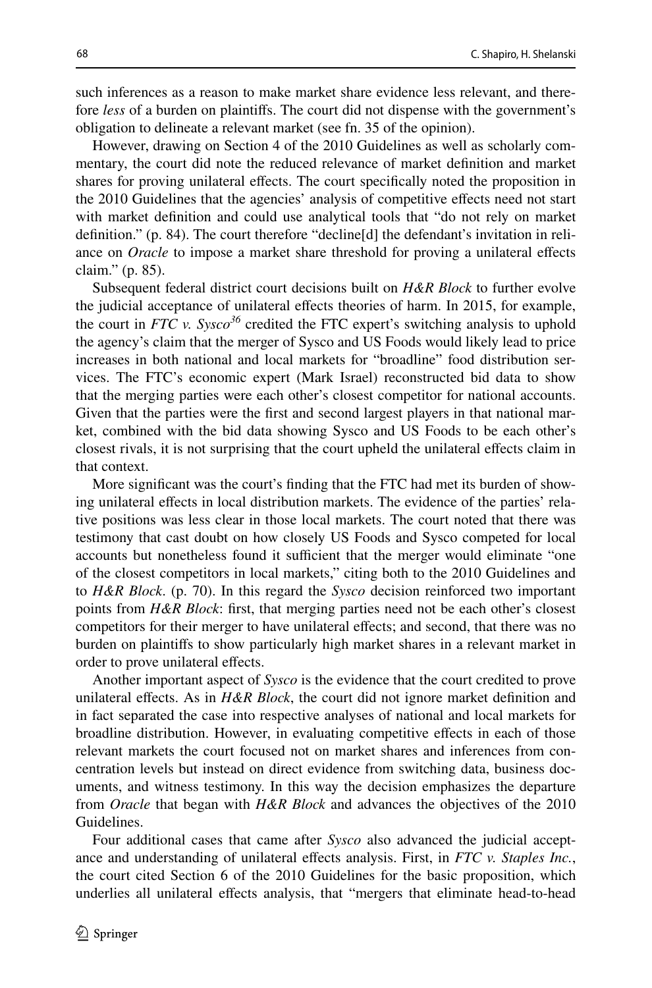such inferences as a reason to make market share evidence less relevant, and therefore *less* of a burden on plaintifs. The court did not dispense with the government's obligation to delineate a relevant market (see fn. 35 of the opinion).

However, drawing on Section 4 of the 2010 Guidelines as well as scholarly commentary, the court did note the reduced relevance of market defnition and market shares for proving unilateral efects. The court specifcally noted the proposition in the 2010 Guidelines that the agencies' analysis of competitive efects need not start with market defnition and could use analytical tools that "do not rely on market defnition." (p. 84). The court therefore "decline[d] the defendant's invitation in reliance on *Oracle* to impose a market share threshold for proving a unilateral efects claim." (p. 85).

Subsequent federal district court decisions built on *H&R Block* to further evolve the judicial acceptance of unilateral efects theories of harm. In 2015, for example, the court in *FTC v.* Sysco<sup>36</sup> credited the FTC expert's switching analysis to uphold the agency's claim that the merger of Sysco and US Foods would likely lead to price increases in both national and local markets for "broadline" food distribution services. The FTC's economic expert (Mark Israel) reconstructed bid data to show that the merging parties were each other's closest competitor for national accounts. Given that the parties were the frst and second largest players in that national market, combined with the bid data showing Sysco and US Foods to be each other's closest rivals, it is not surprising that the court upheld the unilateral efects claim in that context.

More signifcant was the court's fnding that the FTC had met its burden of showing unilateral efects in local distribution markets. The evidence of the parties' relative positions was less clear in those local markets. The court noted that there was testimony that cast doubt on how closely US Foods and Sysco competed for local accounts but nonetheless found it sufficient that the merger would eliminate "one of the closest competitors in local markets," citing both to the 2010 Guidelines and to *H&R Block*. (p. 70). In this regard the *Sysco* decision reinforced two important points from *H&R Block*: frst, that merging parties need not be each other's closest competitors for their merger to have unilateral efects; and second, that there was no burden on plaintifs to show particularly high market shares in a relevant market in order to prove unilateral effects.

Another important aspect of *Sysco* is the evidence that the court credited to prove unilateral effects. As in  $H\&R$  Block, the court did not ignore market definition and in fact separated the case into respective analyses of national and local markets for broadline distribution. However, in evaluating competitive efects in each of those relevant markets the court focused not on market shares and inferences from concentration levels but instead on direct evidence from switching data, business documents, and witness testimony. In this way the decision emphasizes the departure from *Oracle* that began with *H&R Block* and advances the objectives of the 2010 Guidelines.

Four additional cases that came after *Sysco* also advanced the judicial acceptance and understanding of unilateral efects analysis. First, in *FTC v. Staples Inc.*, the court cited Section 6 of the 2010 Guidelines for the basic proposition, which underlies all unilateral efects analysis, that "mergers that eliminate head-to-head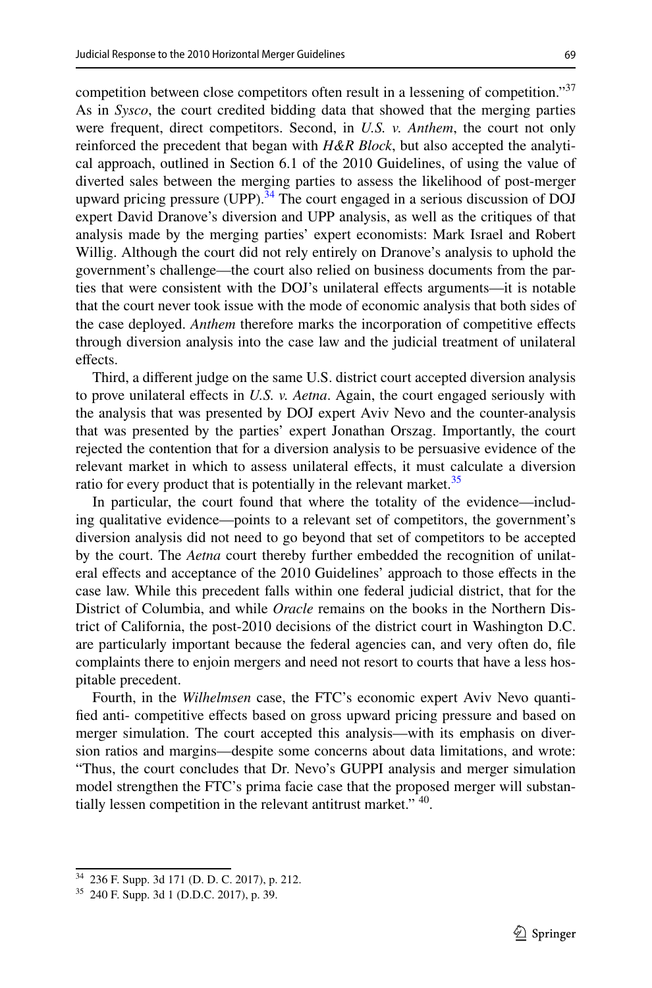competition between close competitors often result in a lessening of competition."<sup>37</sup> As in *Sysco*, the court credited bidding data that showed that the merging parties were frequent, direct competitors. Second, in *U.S. v. Anthem*, the court not only reinforced the precedent that began with *H&R Block*, but also accepted the analytical approach, outlined in Section 6.1 of the 2010 Guidelines, of using the value of diverted sales between the merging parties to assess the likelihood of post-merger upward pricing pressure (UPP).<sup>34</sup> The court engaged in a serious discussion of DOJ expert David Dranove's diversion and UPP analysis, as well as the critiques of that analysis made by the merging parties' expert economists: Mark Israel and Robert Willig. Although the court did not rely entirely on Dranove's analysis to uphold the government's challenge—the court also relied on business documents from the parties that were consistent with the DOJ's unilateral efects arguments—it is notable that the court never took issue with the mode of economic analysis that both sides of the case deployed. *Anthem* therefore marks the incorporation of competitive efects through diversion analysis into the case law and the judicial treatment of unilateral effects.

Third, a diferent judge on the same U.S. district court accepted diversion analysis to prove unilateral efects in *U.S. v. Aetna*. Again, the court engaged seriously with the analysis that was presented by DOJ expert Aviv Nevo and the counter-analysis that was presented by the parties' expert Jonathan Orszag. Importantly, the court rejected the contention that for a diversion analysis to be persuasive evidence of the relevant market in which to assess unilateral efects, it must calculate a diversion ratio for every product that is potentially in the relevant market. $35$ 

In particular, the court found that where the totality of the evidence—including qualitative evidence—points to a relevant set of competitors, the government's diversion analysis did not need to go beyond that set of competitors to be accepted by the court. The *Aetna* court thereby further embedded the recognition of unilateral efects and acceptance of the 2010 Guidelines' approach to those efects in the case law. While this precedent falls within one federal judicial district, that for the District of Columbia, and while *Oracle* remains on the books in the Northern District of California, the post-2010 decisions of the district court in Washington D.C. are particularly important because the federal agencies can, and very often do, fle complaints there to enjoin mergers and need not resort to courts that have a less hospitable precedent.

Fourth, in the *Wilhelmsen* case, the FTC's economic expert Aviv Nevo quantifed anti- competitive efects based on gross upward pricing pressure and based on merger simulation. The court accepted this analysis—with its emphasis on diversion ratios and margins—despite some concerns about data limitations, and wrote: "Thus, the court concludes that Dr. Nevo's GUPPI analysis and merger simulation model strengthen the FTC's prima facie case that the proposed merger will substantially lessen competition in the relevant antitrust market." 40.

<span id="page-18-0"></span><sup>34</sup> 236 F. Supp. 3d 171 (D. D. C. 2017), p. 212.

<span id="page-18-1"></span><sup>35</sup> 240 F. Supp. 3d 1 (D.D.C. 2017), p. 39.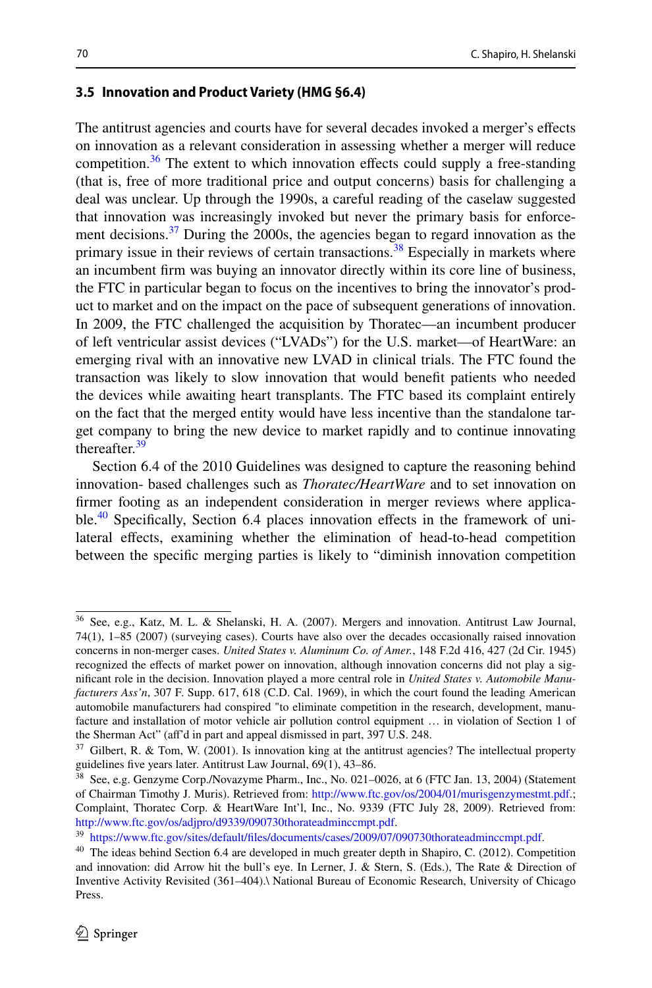## **3.5 Innovation and Product Variety (HMG §6.4)**

The antitrust agencies and courts have for several decades invoked a merger's efects on innovation as a relevant consideration in assessing whether a merger will reduce competition.<sup>36</sup> The extent to which innovation effects could supply a free-standing (that is, free of more traditional price and output concerns) basis for challenging a deal was unclear. Up through the 1990s, a careful reading of the caselaw suggested that innovation was increasingly invoked but never the primary basis for enforcement decisions.<sup>37</sup> During the 2000s, the agencies began to regard innovation as the primary issue in their reviews of certain transactions.<sup>38</sup> Especially in markets where an incumbent frm was buying an innovator directly within its core line of business, the FTC in particular began to focus on the incentives to bring the innovator's product to market and on the impact on the pace of subsequent generations of innovation. In 2009, the FTC challenged the acquisition by Thoratec—an incumbent producer of left ventricular assist devices ("LVADs") for the U.S. market—of HeartWare: an emerging rival with an innovative new LVAD in clinical trials. The FTC found the transaction was likely to slow innovation that would beneft patients who needed the devices while awaiting heart transplants. The FTC based its complaint entirely on the fact that the merged entity would have less incentive than the standalone target company to bring the new device to market rapidly and to continue innovating thereafter.<sup>[39](#page-19-3)</sup>

Section 6.4 of the 2010 Guidelines was designed to capture the reasoning behind innovation- based challenges such as *Thoratec/HeartWare* and to set innovation on frmer footing as an independent consideration in merger reviews where applicable.<sup>40</sup> Specifically, Section 6.4 places innovation effects in the framework of unilateral efects, examining whether the elimination of head-to-head competition between the specifc merging parties is likely to "diminish innovation competition

<span id="page-19-0"></span><sup>36</sup> See, e.g., Katz, M. L. & Shelanski, H. A. (2007). Mergers and innovation. Antitrust Law Journal, 74(1), 1–85 (2007) (surveying cases). Courts have also over the decades occasionally raised innovation concerns in non-merger cases. *United States v. Aluminum Co. of Amer.*, 148 F.2d 416, 427 (2d Cir. 1945) recognized the efects of market power on innovation, although innovation concerns did not play a signifcant role in the decision. Innovation played a more central role in *United States v. Automobile Manufacturers Ass'n*, 307 F. Supp. 617, 618 (C.D. Cal. 1969), in which the court found the leading American automobile manufacturers had conspired "to eliminate competition in the research, development, manufacture and installation of motor vehicle air pollution control equipment … in violation of Section 1 of the Sherman Act" (af'd in part and appeal dismissed in part, 397 U.S. 248.

<span id="page-19-1"></span> $37$  Gilbert, R. & Tom, W. (2001). Is innovation king at the antitrust agencies? The intellectual property guidelines fve years later. Antitrust Law Journal, 69(1), 43–86.

<span id="page-19-2"></span><sup>38</sup> See, e.g. Genzyme Corp./Novazyme Pharm., Inc., No. 021–0026, at 6 (FTC Jan. 13, 2004) (Statement of Chairman Timothy J. Muris). Retrieved from:<http://www.ftc.gov/os/2004/01/murisgenzymestmt.pdf>.; Complaint, Thoratec Corp. & HeartWare Int'l, Inc., No. 9339 (FTC July 28, 2009). Retrieved from: <http://www.ftc.gov/os/adjpro/d9339/090730thorateadminccmpt.pdf>.

<span id="page-19-3"></span><sup>39</sup> [https://www.ftc.gov/sites/default/fles/documents/cases/2009/07/090730thorateadminccmpt.pdf](https://www.ftc.gov/sites/default/files/documents/cases/2009/07/090730thorateadminccmpt.pdf).

<span id="page-19-4"></span><sup>&</sup>lt;sup>40</sup> The ideas behind Section 6.4 are developed in much greater depth in Shapiro, C. (2012). Competition and innovation: did Arrow hit the bull's eye. In Lerner, J. & Stern, S. (Eds.), The Rate & Direction of Inventive Activity Revisited (361–404).\ National Bureau of Economic Research, University of Chicago Press.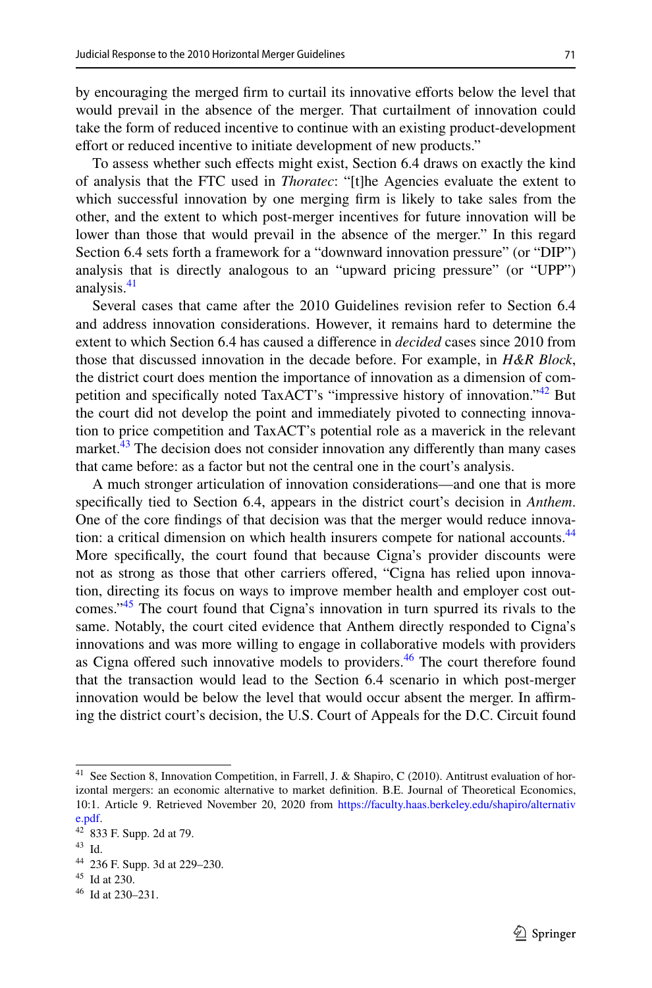by encouraging the merged firm to curtail its innovative efforts below the level that would prevail in the absence of the merger. That curtailment of innovation could take the form of reduced incentive to continue with an existing product-development effort or reduced incentive to initiate development of new products."

To assess whether such efects might exist, Section 6.4 draws on exactly the kind of analysis that the FTC used in *Thoratec*: "[t]he Agencies evaluate the extent to which successful innovation by one merging frm is likely to take sales from the other, and the extent to which post-merger incentives for future innovation will be lower than those that would prevail in the absence of the merger." In this regard Section 6.4 sets forth a framework for a "downward innovation pressure" (or "DIP") analysis that is directly analogous to an "upward pricing pressure" (or "UPP") analysis.<sup>41</sup>

Several cases that came after the 2010 Guidelines revision refer to Section 6.4 and address innovation considerations. However, it remains hard to determine the extent to which Section 6.4 has caused a diference in *decided* cases since 2010 from those that discussed innovation in the decade before. For example, in *H&R Block*, the district court does mention the importance of innovation as a dimension of competition and specifically noted TaxACT's "impressive history of innovation."<sup>42</sup> But the court did not develop the point and immediately pivoted to connecting innovation to price competition and TaxACT's potential role as a maverick in the relevant market.<sup>43</sup> The decision does not consider innovation any differently than many cases that came before: as a factor but not the central one in the court's analysis.

A much stronger articulation of innovation considerations—and one that is more specifcally tied to Section 6.4, appears in the district court's decision in *Anthem*. One of the core fndings of that decision was that the merger would reduce innovation: a critical dimension on which health insurers compete for national accounts.<sup>44</sup> More specifcally, the court found that because Cigna's provider discounts were not as strong as those that other carriers ofered, "Cigna has relied upon innovation, directing its focus on ways to improve member health and employer cost outcomes.["45](#page-20-4) The court found that Cigna's innovation in turn spurred its rivals to the same. Notably, the court cited evidence that Anthem directly responded to Cigna's innovations and was more willing to engage in collaborative models with providers as Cigna offered such innovative models to providers.<sup>46</sup> The court therefore found that the transaction would lead to the Section 6.4 scenario in which post-merger innovation would be below the level that would occur absent the merger. In affirming the district court's decision, the U.S. Court of Appeals for the D.C. Circuit found

<span id="page-20-0"></span><sup>&</sup>lt;sup>41</sup> See Section 8, Innovation Competition, in Farrell, J. & Shapiro, C (2010). Antitrust evaluation of horizontal mergers: an economic alternative to market defnition. B.E. Journal of Theoretical Economics, 10:1. Article 9. Retrieved November 20, 2020 from [https://faculty.haas.berkeley.edu/shapiro/alternativ](https://faculty.haas.berkeley.edu/shapiro/alternative.pdf) [e.pdf](https://faculty.haas.berkeley.edu/shapiro/alternative.pdf).

<span id="page-20-1"></span> $42^{2}$  833 F. Supp. 2d at 79.

<span id="page-20-2"></span><sup>43</sup> Id.

<span id="page-20-3"></span><sup>44</sup> 236 F. Supp. 3d at 229–230.

<span id="page-20-4"></span><sup>45</sup> Id at 230.

<span id="page-20-5"></span> $46$  Id at 230–231.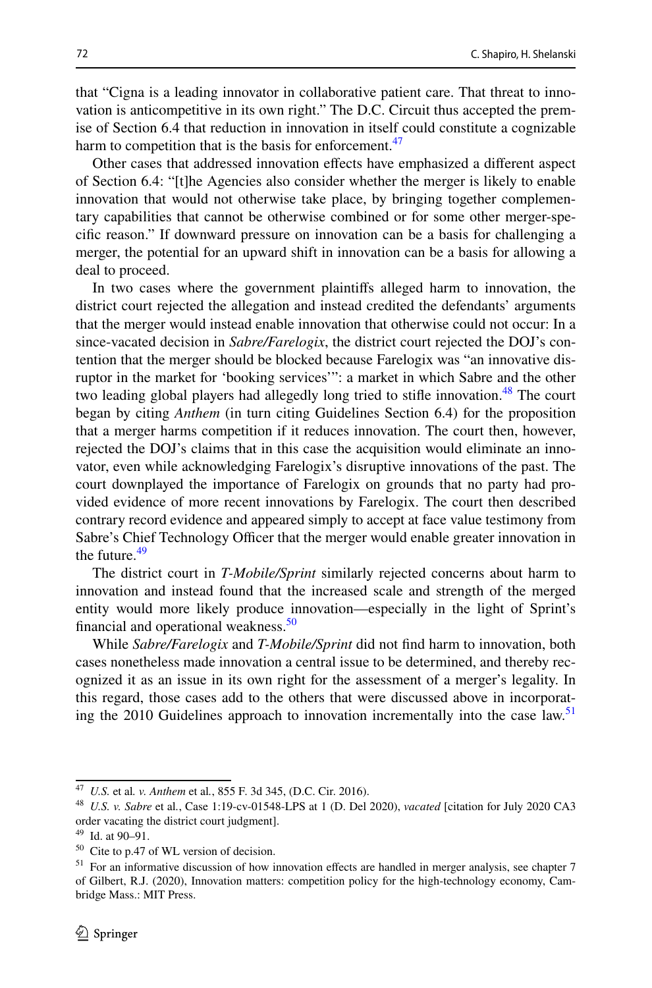that "Cigna is a leading innovator in collaborative patient care. That threat to innovation is anticompetitive in its own right." The D.C. Circuit thus accepted the premise of Section 6.4 that reduction in innovation in itself could constitute a cognizable harm to competition that is the basis for enforcement.<sup>[47](#page-21-0)</sup>

Other cases that addressed innovation efects have emphasized a diferent aspect of Section 6.4: "[t]he Agencies also consider whether the merger is likely to enable innovation that would not otherwise take place, by bringing together complementary capabilities that cannot be otherwise combined or for some other merger-specifc reason." If downward pressure on innovation can be a basis for challenging a merger, the potential for an upward shift in innovation can be a basis for allowing a deal to proceed.

In two cases where the government plaintifs alleged harm to innovation, the district court rejected the allegation and instead credited the defendants' arguments that the merger would instead enable innovation that otherwise could not occur: In a since-vacated decision in *Sabre/Farelogix*, the district court rejected the DOJ's contention that the merger should be blocked because Farelogix was "an innovative disruptor in the market for 'booking services'": a market in which Sabre and the other two leading global players had allegedly long tried to stifle innovation.<sup>48</sup> The court began by citing *Anthem* (in turn citing Guidelines Section 6.4) for the proposition that a merger harms competition if it reduces innovation. The court then, however, rejected the DOJ's claims that in this case the acquisition would eliminate an innovator, even while acknowledging Farelogix's disruptive innovations of the past. The court downplayed the importance of Farelogix on grounds that no party had provided evidence of more recent innovations by Farelogix. The court then described contrary record evidence and appeared simply to accept at face value testimony from Sabre's Chief Technology Officer that the merger would enable greater innovation in the future. $49$ 

The district court in *T-Mobile/Sprint* similarly rejected concerns about harm to innovation and instead found that the increased scale and strength of the merged entity would more likely produce innovation—especially in the light of Sprint's financial and operational weakness. $50$ 

While *Sabre/Farelogix* and *T-Mobile/Sprint* did not fnd harm to innovation, both cases nonetheless made innovation a central issue to be determined, and thereby recognized it as an issue in its own right for the assessment of a merger's legality. In this regard, those cases add to the others that were discussed above in incorporat-ing the 2010 Guidelines approach to innovation incrementally into the case law.<sup>[51](#page-21-4)</sup>

<span id="page-21-0"></span><sup>47</sup> *U.S.* et al*. v. Anthem* et al*.*, 855 F. 3d 345, (D.C. Cir. 2016).

<span id="page-21-1"></span><sup>48</sup> *U.S. v. Sabre* et al*.*, Case 1:19-cv-01548-LPS at 1 (D. Del 2020), *vacated* [citation for July 2020 CA3 order vacating the district court judgment].

<span id="page-21-2"></span><sup>49</sup> Id. at 90–91.

<span id="page-21-3"></span><sup>50</sup> Cite to p.47 of WL version of decision.

<span id="page-21-4"></span><sup>&</sup>lt;sup>51</sup> For an informative discussion of how innovation effects are handled in merger analysis, see chapter 7 of Gilbert, R.J. (2020), Innovation matters: competition policy for the high-technology economy, Cambridge Mass.: MIT Press.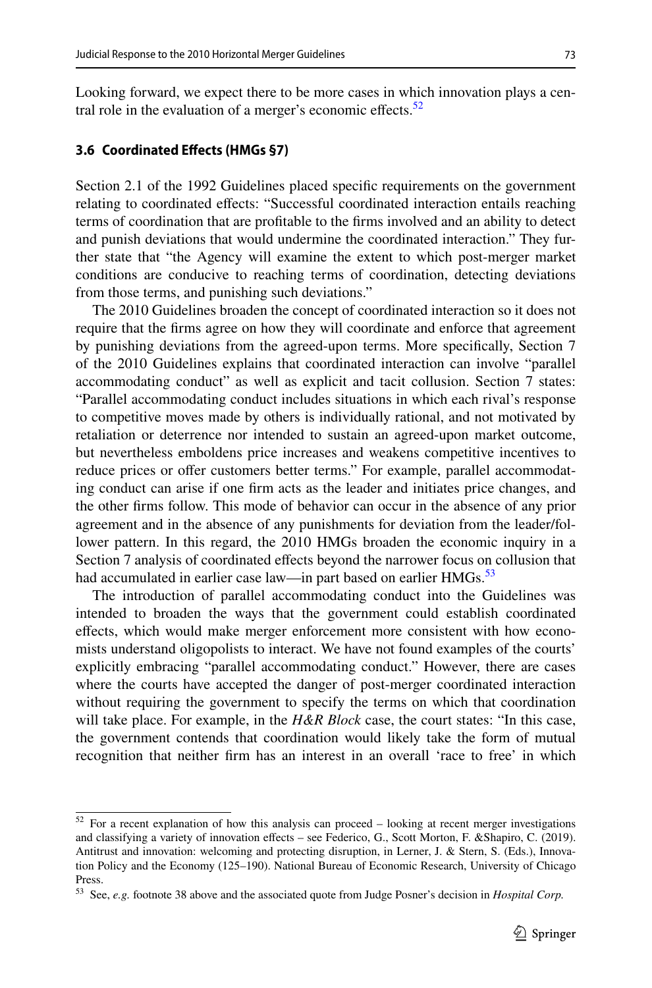Looking forward, we expect there to be more cases in which innovation plays a central role in the evaluation of a merger's economic effects. $52$ 

#### **3.6 Coordinated Efects (HMGs §7)**

Section 2.1 of the 1992 Guidelines placed specifc requirements on the government relating to coordinated efects: "Successful coordinated interaction entails reaching terms of coordination that are proftable to the frms involved and an ability to detect and punish deviations that would undermine the coordinated interaction." They further state that "the Agency will examine the extent to which post-merger market conditions are conducive to reaching terms of coordination, detecting deviations from those terms, and punishing such deviations."

The 2010 Guidelines broaden the concept of coordinated interaction so it does not require that the frms agree on how they will coordinate and enforce that agreement by punishing deviations from the agreed-upon terms. More specifcally, Section 7 of the 2010 Guidelines explains that coordinated interaction can involve "parallel accommodating conduct" as well as explicit and tacit collusion. Section 7 states: "Parallel accommodating conduct includes situations in which each rival's response to competitive moves made by others is individually rational, and not motivated by retaliation or deterrence nor intended to sustain an agreed-upon market outcome, but nevertheless emboldens price increases and weakens competitive incentives to reduce prices or offer customers better terms." For example, parallel accommodating conduct can arise if one frm acts as the leader and initiates price changes, and the other frms follow. This mode of behavior can occur in the absence of any prior agreement and in the absence of any punishments for deviation from the leader/follower pattern. In this regard, the 2010 HMGs broaden the economic inquiry in a Section 7 analysis of coordinated effects beyond the narrower focus on collusion that had accumulated in earlier case law—in part based on earlier HMGs.<sup>53</sup>

The introduction of parallel accommodating conduct into the Guidelines was intended to broaden the ways that the government could establish coordinated efects, which would make merger enforcement more consistent with how economists understand oligopolists to interact. We have not found examples of the courts' explicitly embracing "parallel accommodating conduct." However, there are cases where the courts have accepted the danger of post-merger coordinated interaction without requiring the government to specify the terms on which that coordination will take place. For example, in the *H&R Block* case, the court states: "In this case, the government contends that coordination would likely take the form of mutual recognition that neither frm has an interest in an overall 'race to free' in which

<span id="page-22-0"></span> $52$  For a recent explanation of how this analysis can proceed – looking at recent merger investigations and classifying a variety of innovation effects - see Federico, G., Scott Morton, F. &Shapiro, C. (2019). Antitrust and innovation: welcoming and protecting disruption, in Lerner, J. & Stern, S. (Eds.), Innovation Policy and the Economy (125–190). National Bureau of Economic Research, University of Chicago Press.

<span id="page-22-1"></span><sup>53</sup> See, *e.g.* footnote 38 above and the associated quote from Judge Posner's decision in *Hospital Corp.*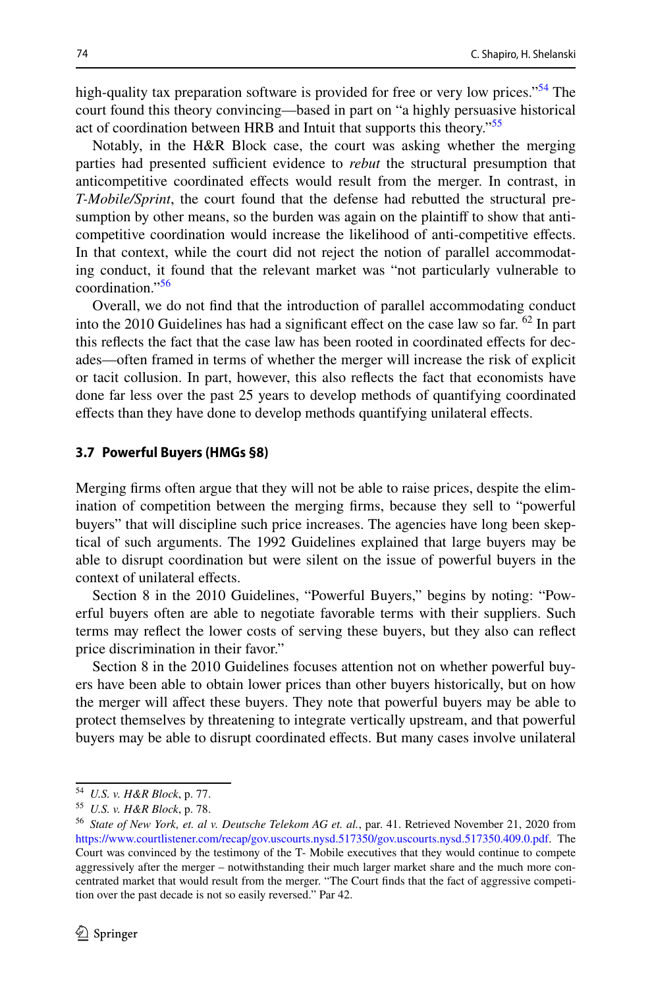high-quality tax preparation software is provided for free or very low prices."<sup>54</sup> The court found this theory convincing—based in part on "a highly persuasive historical act of coordination between HRB and Intuit that supports this theory."<sup>[55](#page-23-1)</sup>

Notably, in the H&R Block case, the court was asking whether the merging parties had presented sufficient evidence to *rebut* the structural presumption that anticompetitive coordinated efects would result from the merger. In contrast, in *T-Mobile/Sprint*, the court found that the defense had rebutted the structural presumption by other means, so the burden was again on the plaintif to show that anticompetitive coordination would increase the likelihood of anti-competitive efects. In that context, while the court did not reject the notion of parallel accommodating conduct, it found that the relevant market was "not particularly vulnerable to coordination."[56](#page-23-2)

Overall, we do not fnd that the introduction of parallel accommodating conduct into the 2010 Guidelines has had a significant effect on the case law so far.  $^{62}$  In part this refects the fact that the case law has been rooted in coordinated efects for decades—often framed in terms of whether the merger will increase the risk of explicit or tacit collusion. In part, however, this also refects the fact that economists have done far less over the past 25 years to develop methods of quantifying coordinated efects than they have done to develop methods quantifying unilateral efects.

#### **3.7 Powerful Buyers (HMGs §8)**

Merging frms often argue that they will not be able to raise prices, despite the elimination of competition between the merging frms, because they sell to "powerful buyers" that will discipline such price increases. The agencies have long been skeptical of such arguments. The 1992 Guidelines explained that large buyers may be able to disrupt coordination but were silent on the issue of powerful buyers in the context of unilateral efects.

Section 8 in the 2010 Guidelines, "Powerful Buyers," begins by noting: "Powerful buyers often are able to negotiate favorable terms with their suppliers. Such terms may refect the lower costs of serving these buyers, but they also can refect price discrimination in their favor."

Section 8 in the 2010 Guidelines focuses attention not on whether powerful buyers have been able to obtain lower prices than other buyers historically, but on how the merger will afect these buyers. They note that powerful buyers may be able to protect themselves by threatening to integrate vertically upstream, and that powerful buyers may be able to disrupt coordinated efects. But many cases involve unilateral

<span id="page-23-0"></span><sup>54</sup> *U.S. v. H&R Block*, p. 77.

<span id="page-23-1"></span><sup>55</sup> *U.S. v. H&R Block*, p. 78.

<span id="page-23-2"></span><sup>56</sup> *State of New York, et. al v. Deutsche Telekom AG et. al.*, par. 41. Retrieved November 21, 2020 from [https://www.courtlistener.com/recap/gov.uscourts.nysd.517350/gov.uscourts.nysd.517350.409.0.pdf.](https://www.courtlistener.com/recap/gov.uscourts.nysd.517350/gov.uscourts.nysd.517350.409.0.pdf) The Court was convinced by the testimony of the T- Mobile executives that they would continue to compete aggressively after the merger – notwithstanding their much larger market share and the much more concentrated market that would result from the merger. "The Court fnds that the fact of aggressive competition over the past decade is not so easily reversed." Par 42.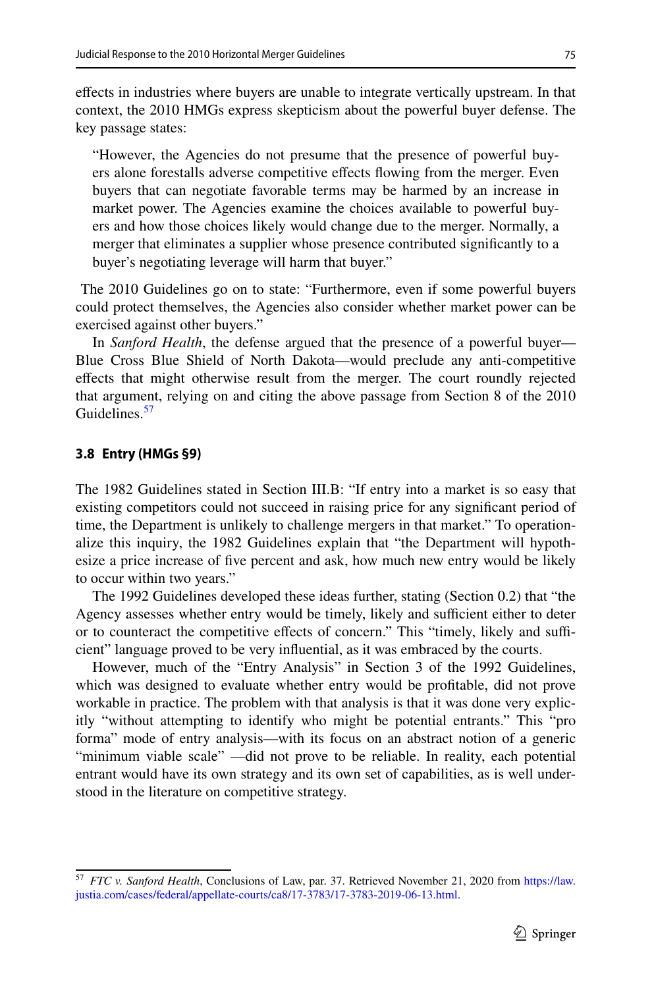efects in industries where buyers are unable to integrate vertically upstream. In that context, the 2010 HMGs express skepticism about the powerful buyer defense. The key passage states:

"However, the Agencies do not presume that the presence of powerful buyers alone forestalls adverse competitive efects fowing from the merger. Even buyers that can negotiate favorable terms may be harmed by an increase in market power. The Agencies examine the choices available to powerful buyers and how those choices likely would change due to the merger. Normally, a merger that eliminates a supplier whose presence contributed signifcantly to a buyer's negotiating leverage will harm that buyer."

 The 2010 Guidelines go on to state: "Furthermore, even if some powerful buyers could protect themselves, the Agencies also consider whether market power can be exercised against other buyers."

In *Sanford Health*, the defense argued that the presence of a powerful buyer— Blue Cross Blue Shield of North Dakota—would preclude any anti-competitive efects that might otherwise result from the merger. The court roundly rejected that argument, relying on and citing the above passage from Section 8 of the 2010 Guidelines<sup>[57](#page-24-0)</sup>

#### **3.8 Entry (HMGs §9)**

The 1982 Guidelines stated in Section III.B: "If entry into a market is so easy that existing competitors could not succeed in raising price for any signifcant period of time, the Department is unlikely to challenge mergers in that market." To operationalize this inquiry, the 1982 Guidelines explain that "the Department will hypothesize a price increase of fve percent and ask, how much new entry would be likely to occur within two years."

The 1992 Guidelines developed these ideas further, stating (Section 0.2) that "the Agency assesses whether entry would be timely, likely and sufficient either to deter or to counteract the competitive effects of concern." This "timely, likely and sufficient" language proved to be very infuential, as it was embraced by the courts.

However, much of the "Entry Analysis" in Section 3 of the 1992 Guidelines, which was designed to evaluate whether entry would be proftable, did not prove workable in practice. The problem with that analysis is that it was done very explicitly "without attempting to identify who might be potential entrants." This "pro forma" mode of entry analysis—with its focus on an abstract notion of a generic "minimum viable scale" —did not prove to be reliable. In reality, each potential entrant would have its own strategy and its own set of capabilities, as is well understood in the literature on competitive strategy.

<span id="page-24-0"></span><sup>57</sup> *FTC v. Sanford Health*, Conclusions of Law, par. 37. Retrieved November 21, 2020 from [https://law.](https://law.justia.com/cases/federal/appellate-courts/ca8/17-3783/17-3783-2019-06-13.html) [justia.com/cases/federal/appellate-courts/ca8/17-3783/17-3783-2019-06-13.html.](https://law.justia.com/cases/federal/appellate-courts/ca8/17-3783/17-3783-2019-06-13.html)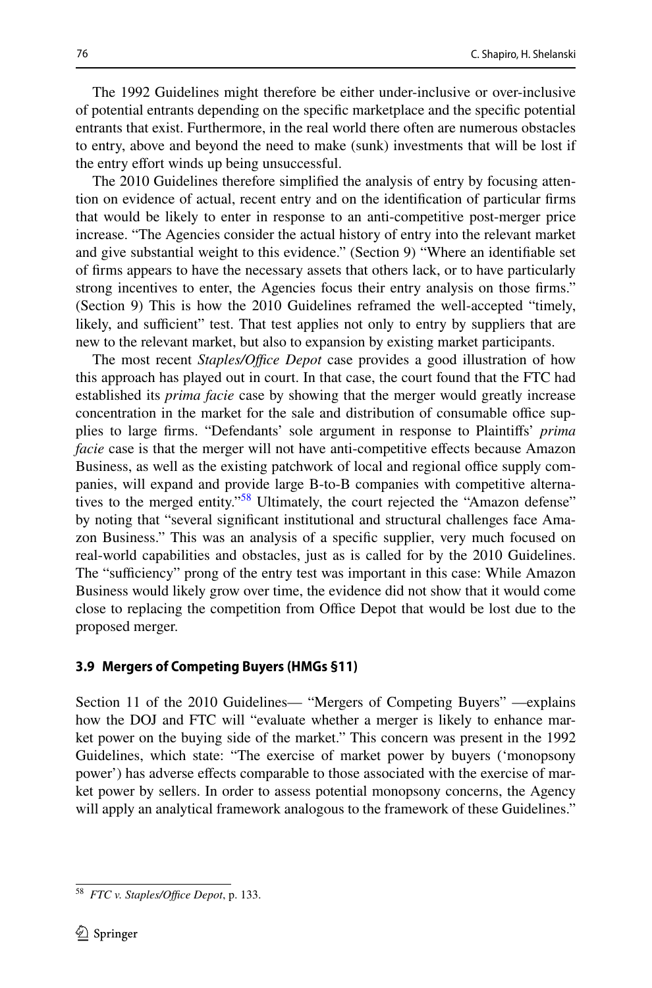The 1992 Guidelines might therefore be either under-inclusive or over-inclusive of potential entrants depending on the specifc marketplace and the specifc potential entrants that exist. Furthermore, in the real world there often are numerous obstacles to entry, above and beyond the need to make (sunk) investments that will be lost if the entry effort winds up being unsuccessful.

The 2010 Guidelines therefore simplifed the analysis of entry by focusing attention on evidence of actual, recent entry and on the identifcation of particular frms that would be likely to enter in response to an anti-competitive post-merger price increase. "The Agencies consider the actual history of entry into the relevant market and give substantial weight to this evidence." (Section 9) "Where an identifable set of frms appears to have the necessary assets that others lack, or to have particularly strong incentives to enter, the Agencies focus their entry analysis on those frms." (Section 9) This is how the 2010 Guidelines reframed the well-accepted "timely, likely, and sufficient" test. That test applies not only to entry by suppliers that are new to the relevant market, but also to expansion by existing market participants.

The most recent *Staples/Office Depot* case provides a good illustration of how this approach has played out in court. In that case, the court found that the FTC had established its *prima facie* case by showing that the merger would greatly increase concentration in the market for the sale and distribution of consumable office supplies to large frms. "Defendants' sole argument in response to Plaintifs' *prima facie* case is that the merger will not have anti-competitive effects because Amazon Business, as well as the existing patchwork of local and regional office supply companies, will expand and provide large B-to-B companies with competitive alternatives to the merged entity."<sup>58</sup> Ultimately, the court rejected the "Amazon defense" by noting that "several signifcant institutional and structural challenges face Amazon Business." This was an analysis of a specifc supplier, very much focused on real-world capabilities and obstacles, just as is called for by the 2010 Guidelines. The "sufficiency" prong of the entry test was important in this case: While Amazon Business would likely grow over time, the evidence did not show that it would come close to replacing the competition from Office Depot that would be lost due to the proposed merger.

### **3.9 Mergers of Competing Buyers (HMGs §11)**

Section 11 of the 2010 Guidelines— "Mergers of Competing Buyers" —explains how the DOJ and FTC will "evaluate whether a merger is likely to enhance market power on the buying side of the market." This concern was present in the 1992 Guidelines, which state: "The exercise of market power by buyers ('monopsony power') has adverse efects comparable to those associated with the exercise of market power by sellers. In order to assess potential monopsony concerns, the Agency will apply an analytical framework analogous to the framework of these Guidelines."

<span id="page-25-0"></span><sup>&</sup>lt;sup>58</sup> *FTC v. Staples/Office Depot*, p. 133.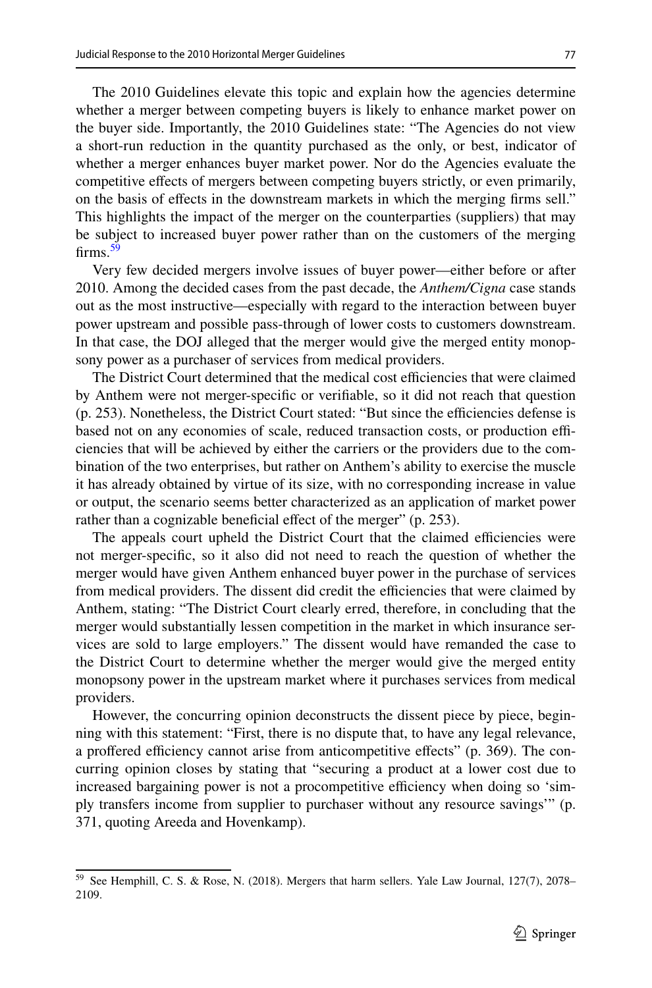The 2010 Guidelines elevate this topic and explain how the agencies determine whether a merger between competing buyers is likely to enhance market power on the buyer side. Importantly, the 2010 Guidelines state: "The Agencies do not view a short-run reduction in the quantity purchased as the only, or best, indicator of whether a merger enhances buyer market power. Nor do the Agencies evaluate the competitive efects of mergers between competing buyers strictly, or even primarily, on the basis of efects in the downstream markets in which the merging frms sell." This highlights the impact of the merger on the counterparties (suppliers) that may be subject to increased buyer power rather than on the customers of the merging firms. $59$ 

Very few decided mergers involve issues of buyer power—either before or after 2010. Among the decided cases from the past decade, the *Anthem/Cigna* case stands out as the most instructive—especially with regard to the interaction between buyer power upstream and possible pass-through of lower costs to customers downstream. In that case, the DOJ alleged that the merger would give the merged entity monopsony power as a purchaser of services from medical providers.

The District Court determined that the medical cost efficiencies that were claimed by Anthem were not merger-specifc or verifable, so it did not reach that question  $(p. 253)$ . Nonetheless, the District Court stated: "But since the efficiencies defense is based not on any economies of scale, reduced transaction costs, or production efficiencies that will be achieved by either the carriers or the providers due to the combination of the two enterprises, but rather on Anthem's ability to exercise the muscle it has already obtained by virtue of its size, with no corresponding increase in value or output, the scenario seems better characterized as an application of market power rather than a cognizable beneficial effect of the merger" (p. 253).

The appeals court upheld the District Court that the claimed efficiencies were not merger-specifc, so it also did not need to reach the question of whether the merger would have given Anthem enhanced buyer power in the purchase of services from medical providers. The dissent did credit the efficiencies that were claimed by Anthem, stating: "The District Court clearly erred, therefore, in concluding that the merger would substantially lessen competition in the market in which insurance services are sold to large employers." The dissent would have remanded the case to the District Court to determine whether the merger would give the merged entity monopsony power in the upstream market where it purchases services from medical providers.

However, the concurring opinion deconstructs the dissent piece by piece, beginning with this statement: "First, there is no dispute that, to have any legal relevance, a proffered efficiency cannot arise from anticompetitive effects" (p. 369). The concurring opinion closes by stating that "securing a product at a lower cost due to increased bargaining power is not a procompetitive efficiency when doing so 'simply transfers income from supplier to purchaser without any resource savings'" (p. 371, quoting Areeda and Hovenkamp).

<span id="page-26-0"></span><sup>59</sup> See Hemphill, C. S. & Rose, N. (2018). Mergers that harm sellers. Yale Law Journal, 127(7), 2078– 2109.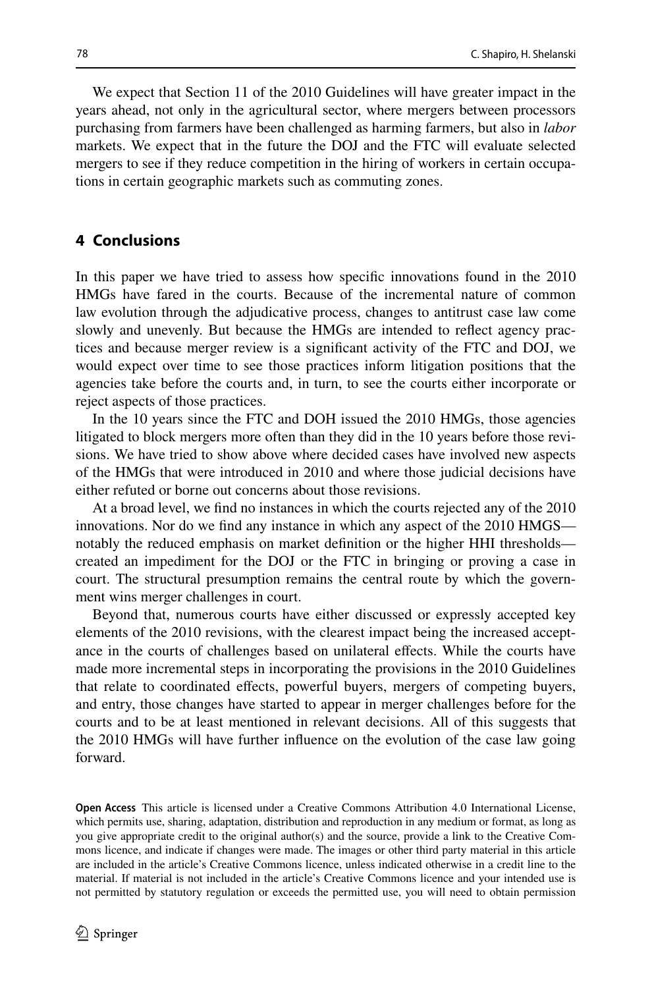We expect that Section 11 of the 2010 Guidelines will have greater impact in the years ahead, not only in the agricultural sector, where mergers between processors purchasing from farmers have been challenged as harming farmers, but also in *labor* markets. We expect that in the future the DOJ and the FTC will evaluate selected mergers to see if they reduce competition in the hiring of workers in certain occupations in certain geographic markets such as commuting zones.

### **4 Conclusions**

In this paper we have tried to assess how specifc innovations found in the 2010 HMGs have fared in the courts. Because of the incremental nature of common law evolution through the adjudicative process, changes to antitrust case law come slowly and unevenly. But because the HMGs are intended to refect agency practices and because merger review is a signifcant activity of the FTC and DOJ, we would expect over time to see those practices inform litigation positions that the agencies take before the courts and, in turn, to see the courts either incorporate or reject aspects of those practices.

In the 10 years since the FTC and DOH issued the 2010 HMGs, those agencies litigated to block mergers more often than they did in the 10 years before those revisions. We have tried to show above where decided cases have involved new aspects of the HMGs that were introduced in 2010 and where those judicial decisions have either refuted or borne out concerns about those revisions.

At a broad level, we fnd no instances in which the courts rejected any of the 2010 innovations. Nor do we fnd any instance in which any aspect of the 2010 HMGS notably the reduced emphasis on market defnition or the higher HHI thresholds created an impediment for the DOJ or the FTC in bringing or proving a case in court. The structural presumption remains the central route by which the government wins merger challenges in court.

Beyond that, numerous courts have either discussed or expressly accepted key elements of the 2010 revisions, with the clearest impact being the increased acceptance in the courts of challenges based on unilateral efects. While the courts have made more incremental steps in incorporating the provisions in the 2010 Guidelines that relate to coordinated efects, powerful buyers, mergers of competing buyers, and entry, those changes have started to appear in merger challenges before for the courts and to be at least mentioned in relevant decisions. All of this suggests that the 2010 HMGs will have further infuence on the evolution of the case law going forward.

**Open Access** This article is licensed under a Creative Commons Attribution 4.0 International License, which permits use, sharing, adaptation, distribution and reproduction in any medium or format, as long as you give appropriate credit to the original author(s) and the source, provide a link to the Creative Commons licence, and indicate if changes were made. The images or other third party material in this article are included in the article's Creative Commons licence, unless indicated otherwise in a credit line to the material. If material is not included in the article's Creative Commons licence and your intended use is not permitted by statutory regulation or exceeds the permitted use, you will need to obtain permission